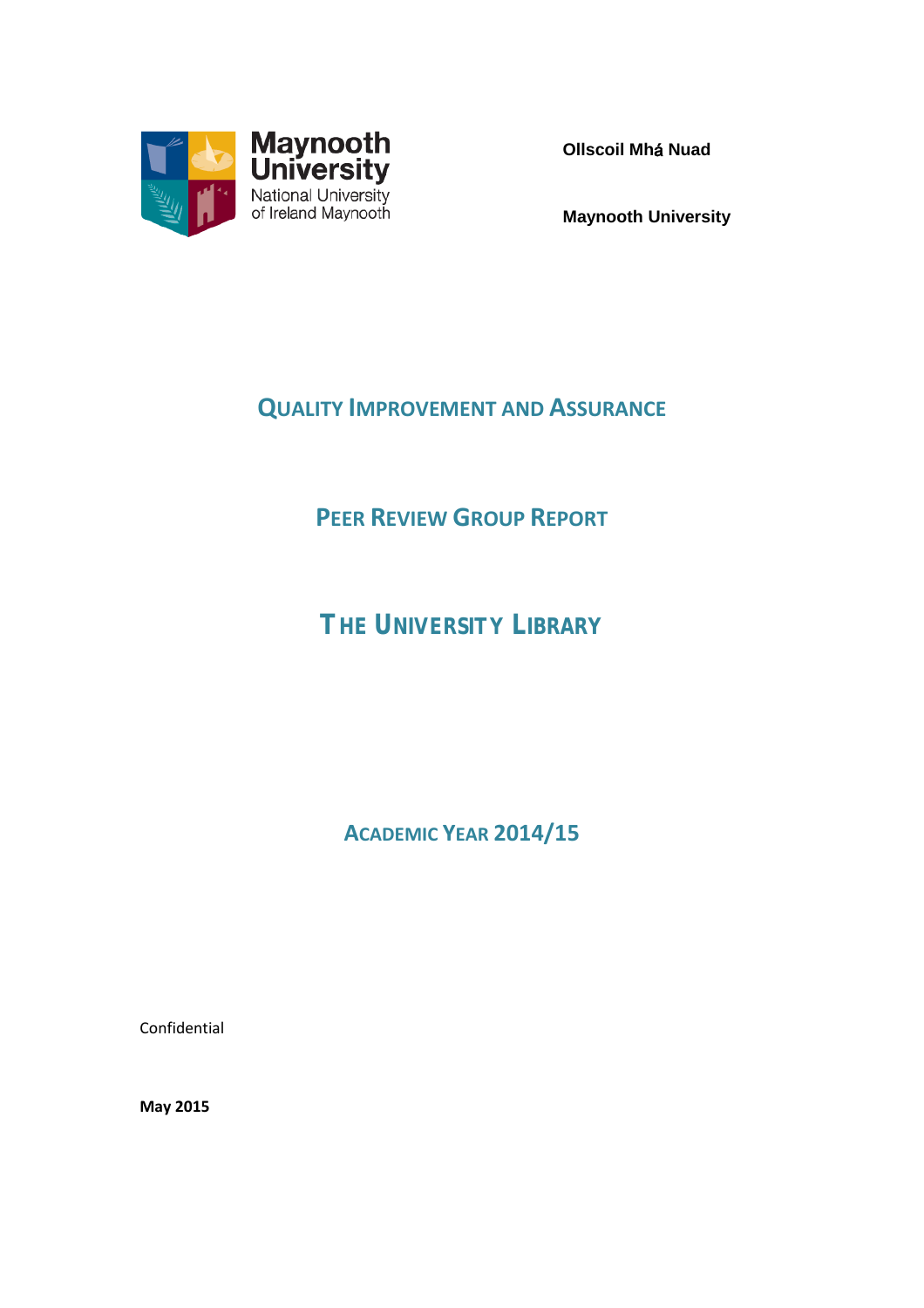

**Ollscoil Mh**á **Nuad**

**Maynooth University**

# **QUALITY IMPROVEMENT AND ASSURANCE**

# **PEER REVIEW GROUP REPORT**

*THE UNIVERSITY LIBRARY*

**ACADEMIC YEAR 2014/15**

Confidential

**May 2015**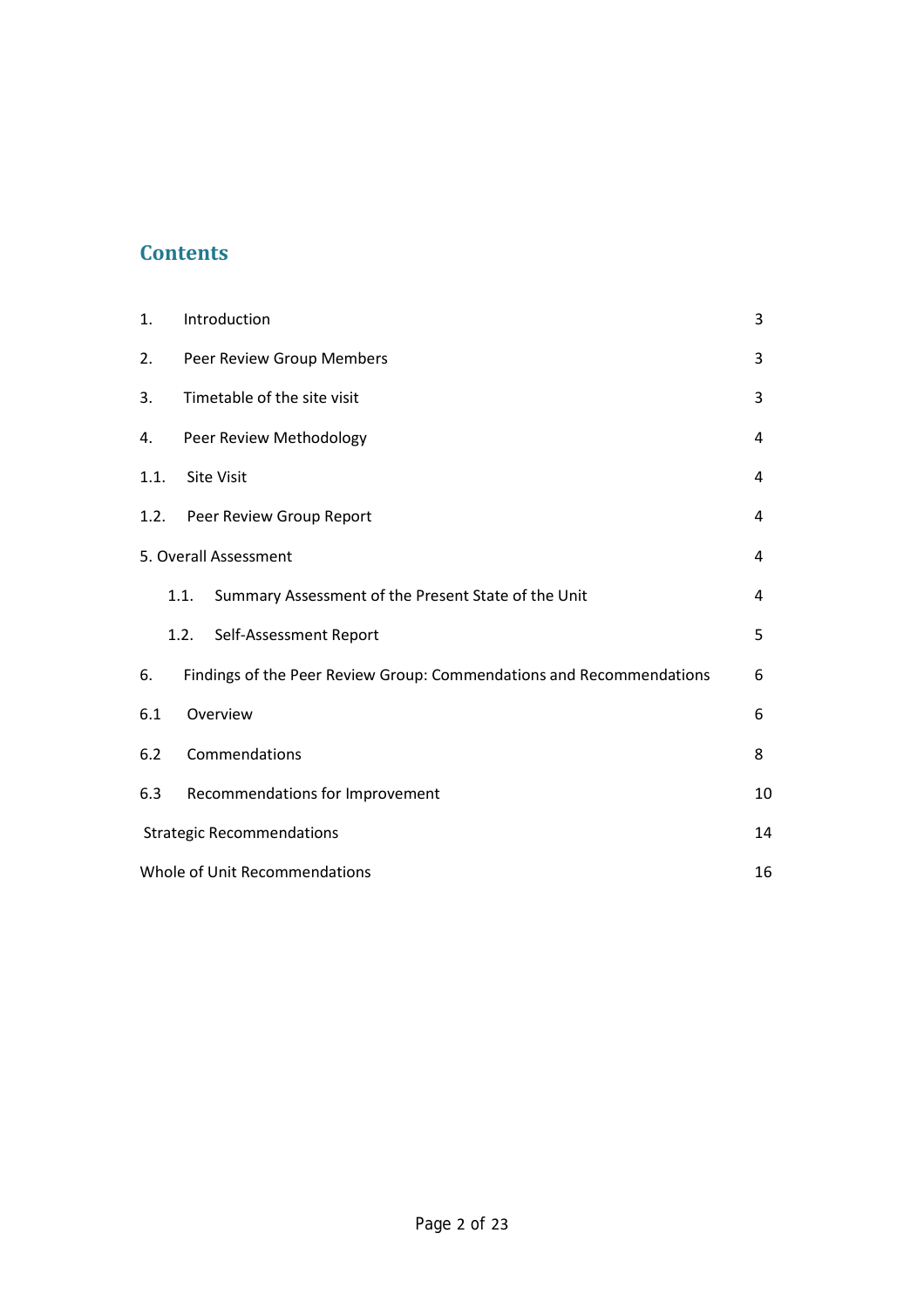## **Contents**

| 1.   | Introduction                                                         | 3 |  |  |
|------|----------------------------------------------------------------------|---|--|--|
| 2.   | Peer Review Group Members                                            | 3 |  |  |
| 3.   | Timetable of the site visit                                          | 3 |  |  |
| 4.   | Peer Review Methodology                                              | 4 |  |  |
| 1.1. | <b>Site Visit</b>                                                    | 4 |  |  |
| 1.2. | Peer Review Group Report                                             | 4 |  |  |
|      | 5. Overall Assessment                                                | 4 |  |  |
|      | Summary Assessment of the Present State of the Unit<br>1.1.          | 4 |  |  |
|      | 1.2.<br>Self-Assessment Report                                       | 5 |  |  |
| 6.   | Findings of the Peer Review Group: Commendations and Recommendations | 6 |  |  |
| 6.1  | Overview                                                             | 6 |  |  |
| 6.2  | Commendations                                                        | 8 |  |  |
| 6.3  | Recommendations for Improvement<br>10                                |   |  |  |
|      | 14<br><b>Strategic Recommendations</b>                               |   |  |  |
|      | Whole of Unit Recommendations<br>16                                  |   |  |  |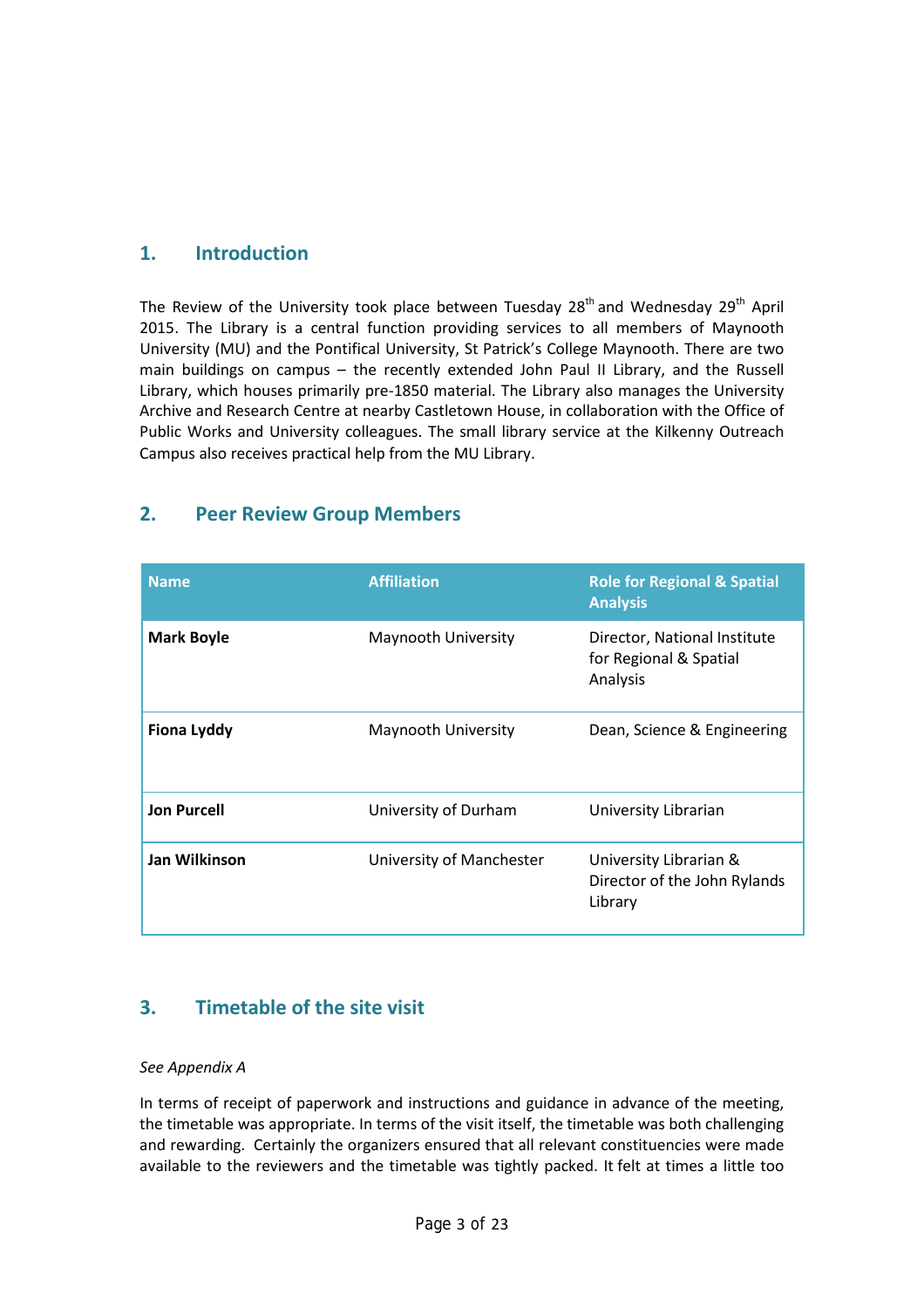## **1. Introduction**

The Review of the University took place between Tuesday  $28<sup>th</sup>$  and Wednesday  $29<sup>th</sup>$  April 2015. The Library is a central function providing services to all members of Maynooth University (MU) and the Pontifical University, St Patrick's College Maynooth. There are two main buildings on campus – the recently extended John Paul II Library, and the Russell Library, which houses primarily pre-1850 material. The Library also manages the University Archive and Research Centre at nearby Castletown House, in collaboration with the Office of Public Works and University colleagues. The small library service at the Kilkenny Outreach Campus also receives practical help from the MU Library.

## **2. Peer Review Group Members**

| <b>Name</b>        | <b>Affiliation</b>       | <b>Role for Regional &amp; Spatial</b><br><b>Analysis</b>          |
|--------------------|--------------------------|--------------------------------------------------------------------|
| <b>Mark Boyle</b>  | Maynooth University      | Director, National Institute<br>for Regional & Spatial<br>Analysis |
| <b>Fiona Lyddy</b> | Maynooth University      | Dean, Science & Engineering                                        |
| <b>Jon Purcell</b> | University of Durham     | University Librarian                                               |
| Jan Wilkinson      | University of Manchester | University Librarian &<br>Director of the John Rylands<br>Library  |

## **3. Timetable of the site visit**

#### *See Appendix A*

In terms of receipt of paperwork and instructions and guidance in advance of the meeting, the timetable was appropriate. In terms of the visit itself, the timetable was both challenging and rewarding. Certainly the organizers ensured that all relevant constituencies were made available to the reviewers and the timetable was tightly packed. It felt at times a little too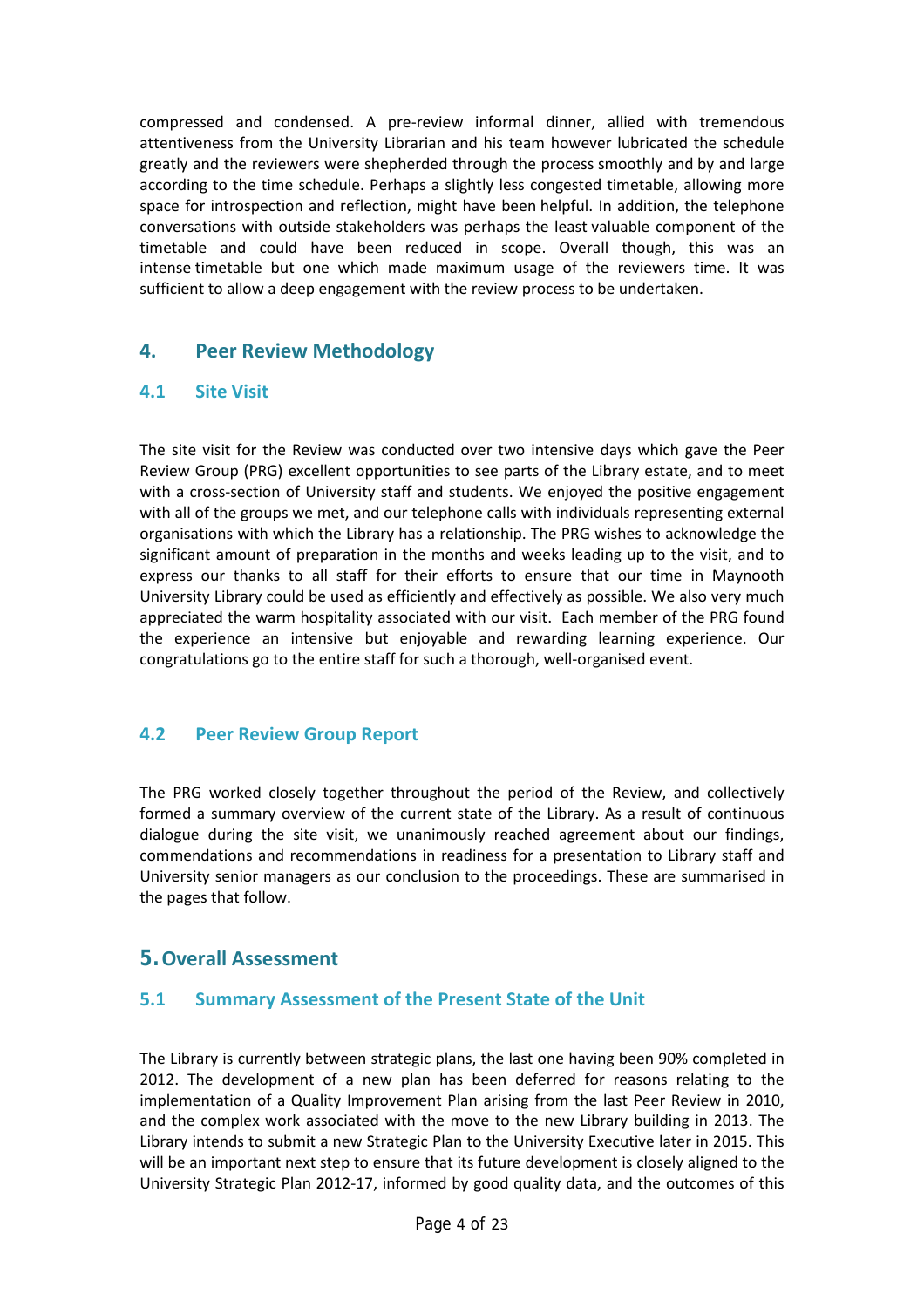compressed and condensed. A pre-review informal dinner, allied with tremendous attentiveness from the University Librarian and his team however lubricated the schedule greatly and the reviewers were shepherded through the process smoothly and by and large according to the time schedule. Perhaps a slightly less congested timetable, allowing more space for introspection and reflection, might have been helpful. In addition, the telephone conversations with outside stakeholders was perhaps the least valuable component of the timetable and could have been reduced in scope. Overall though, this was an intense timetable but one which made maximum usage of the reviewers time. It was sufficient to allow a deep engagement with the review process to be undertaken.

## **4. Peer Review Methodology**

### **4.1 Site Visit**

The site visit for the Review was conducted over two intensive days which gave the Peer Review Group (PRG) excellent opportunities to see parts of the Library estate, and to meet with a cross-section of University staff and students. We enjoyed the positive engagement with all of the groups we met, and our telephone calls with individuals representing external organisations with which the Library has a relationship. The PRG wishes to acknowledge the significant amount of preparation in the months and weeks leading up to the visit, and to express our thanks to all staff for their efforts to ensure that our time in Maynooth University Library could be used as efficiently and effectively as possible. We also very much appreciated the warm hospitality associated with our visit. Each member of the PRG found the experience an intensive but enjoyable and rewarding learning experience. Our congratulations go to the entire staff for such a thorough, well-organised event.

### **4.2 Peer Review Group Report**

The PRG worked closely together throughout the period of the Review, and collectively formed a summary overview of the current state of the Library. As a result of continuous dialogue during the site visit, we unanimously reached agreement about our findings, commendations and recommendations in readiness for a presentation to Library staff and University senior managers as our conclusion to the proceedings. These are summarised in the pages that follow.

## **5.Overall Assessment**

### **5.1 Summary Assessment of the Present State of the Unit**

The Library is currently between strategic plans, the last one having been 90% completed in 2012. The development of a new plan has been deferred for reasons relating to the implementation of a Quality Improvement Plan arising from the last Peer Review in 2010, and the complex work associated with the move to the new Library building in 2013. The Library intends to submit a new Strategic Plan to the University Executive later in 2015. This will be an important next step to ensure that its future development is closely aligned to the University Strategic Plan 2012-17, informed by good quality data, and the outcomes of this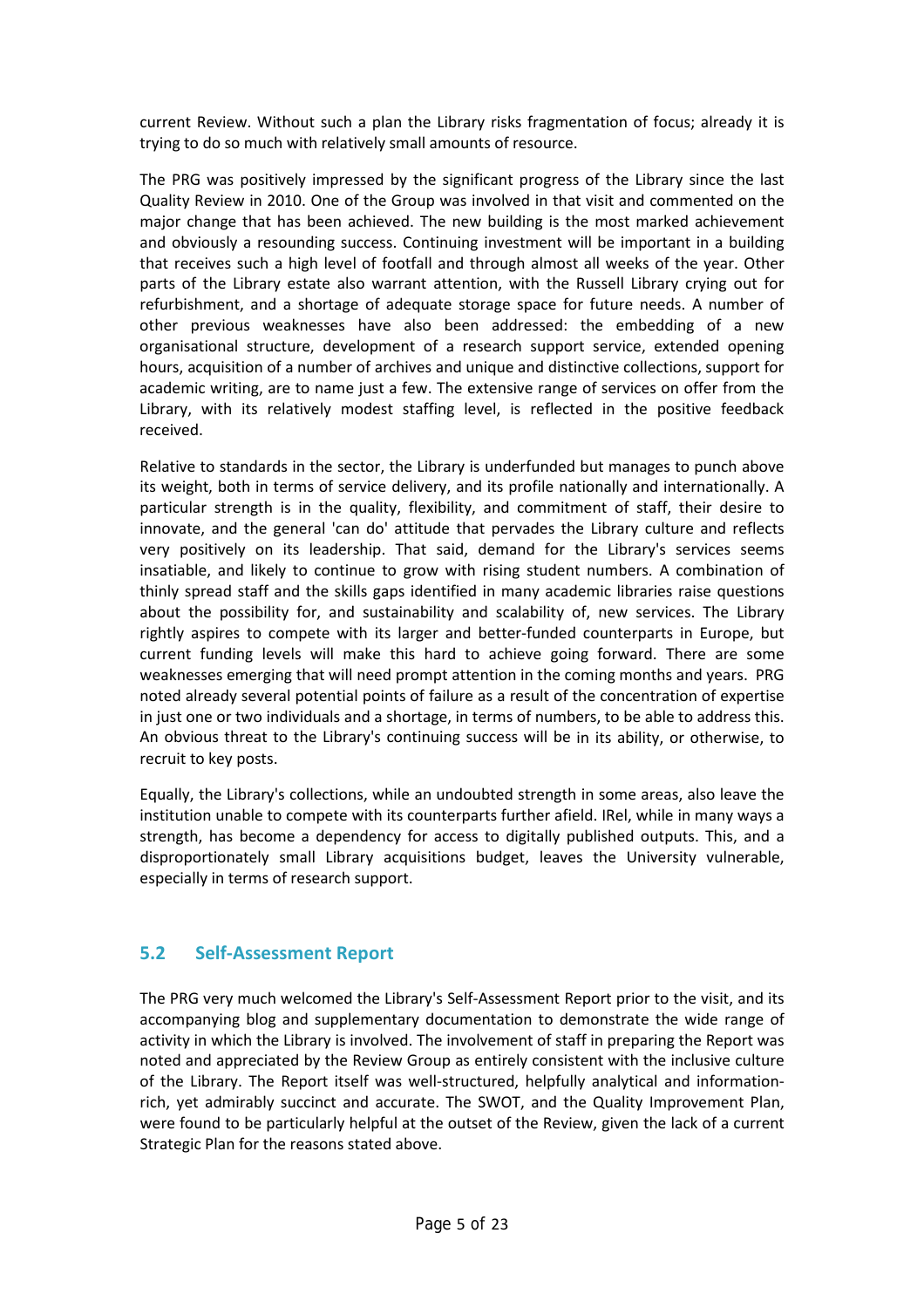current Review. Without such a plan the Library risks fragmentation of focus; already it is trying to do so much with relatively small amounts of resource.

The PRG was positively impressed by the significant progress of the Library since the last Quality Review in 2010. One of the Group was involved in that visit and commented on the major change that has been achieved. The new building is the most marked achievement and obviously a resounding success. Continuing investment will be important in a building that receives such a high level of footfall and through almost all weeks of the year. Other parts of the Library estate also warrant attention, with the Russell Library crying out for refurbishment, and a shortage of adequate storage space for future needs. A number of other previous weaknesses have also been addressed: the embedding of a new organisational structure, development of a research support service, extended opening hours, acquisition of a number of archives and unique and distinctive collections, support for academic writing, are to name just a few. The extensive range of services on offer from the Library, with its relatively modest staffing level, is reflected in the positive feedback received.

Relative to standards in the sector, the Library is underfunded but manages to punch above its weight, both in terms of service delivery, and its profile nationally and internationally. A particular strength is in the quality, flexibility, and commitment of staff, their desire to innovate, and the general 'can do' attitude that pervades the Library culture and reflects very positively on its leadership. That said, demand for the Library's services seems insatiable, and likely to continue to grow with rising student numbers. A combination of thinly spread staff and the skills gaps identified in many academic libraries raise questions about the possibility for, and sustainability and scalability of, new services. The Library rightly aspires to compete with its larger and better-funded counterparts in Europe, but current funding levels will make this hard to achieve going forward. There are some weaknesses emerging that will need prompt attention in the coming months and years. PRG noted already several potential points of failure as a result of the concentration of expertise in just one or two individuals and a shortage, in terms of numbers, to be able to address this. An obvious threat to the Library's continuing success will be in its ability, or otherwise, to recruit to key posts.

Equally, the Library's collections, while an undoubted strength in some areas, also leave the institution unable to compete with its counterparts further afield. IRel, while in many ways a strength, has become a dependency for access to digitally published outputs. This, and a disproportionately small Library acquisitions budget, leaves the University vulnerable, especially in terms of research support.

### **5.2 Self-Assessment Report**

The PRG very much welcomed the Library's Self-Assessment Report prior to the visit, and its accompanying blog and supplementary documentation to demonstrate the wide range of activity in which the Library is involved. The involvement of staff in preparing the Report was noted and appreciated by the Review Group as entirely consistent with the inclusive culture of the Library. The Report itself was well-structured, helpfully analytical and informationrich, yet admirably succinct and accurate. The SWOT, and the Quality Improvement Plan, were found to be particularly helpful at the outset of the Review, given the lack of a current Strategic Plan for the reasons stated above.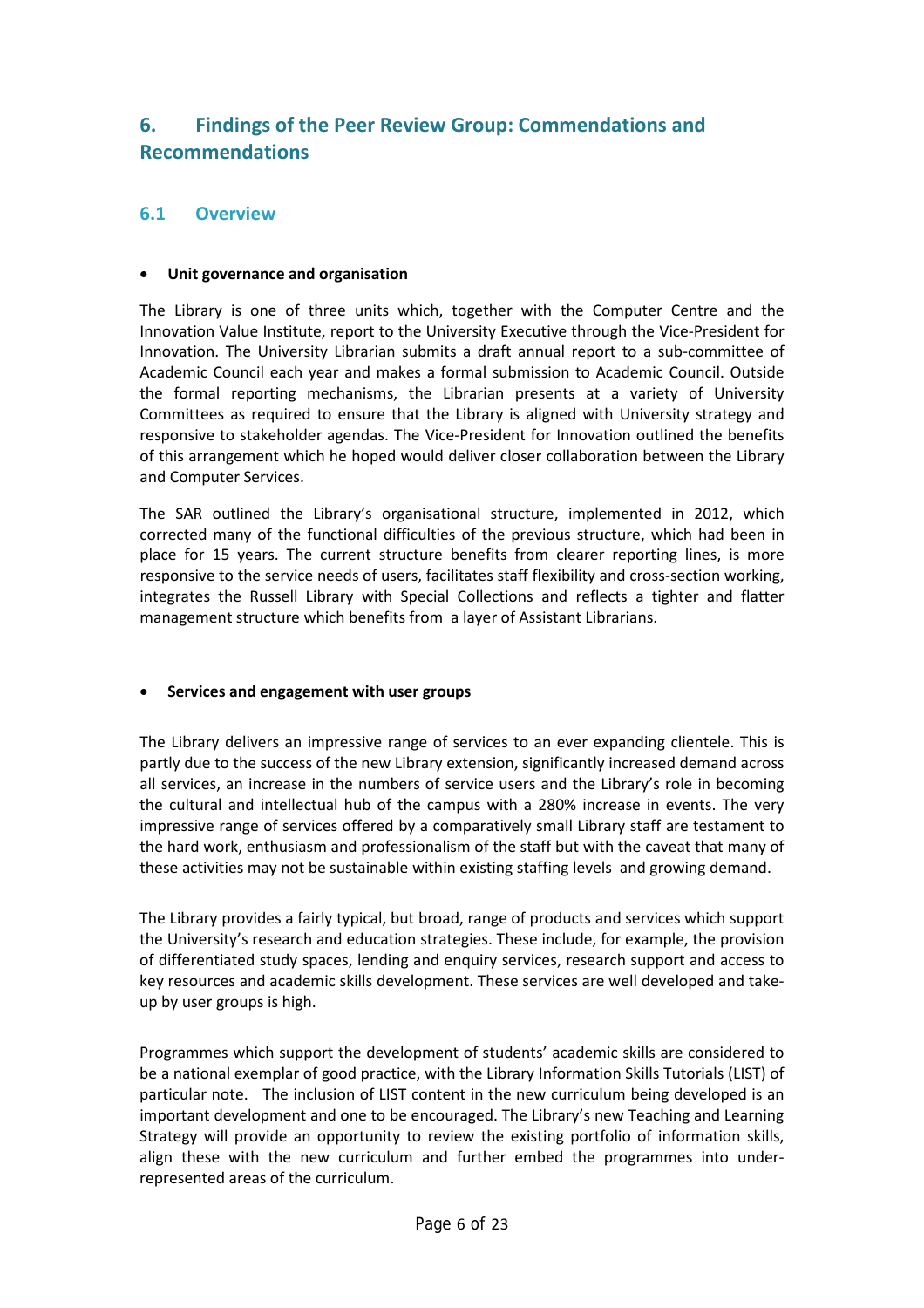## **6. Findings of the Peer Review Group: Commendations and Recommendations**

#### **6.1 Overview**

#### • **Unit governance and organisation**

The Library is one of three units which, together with the Computer Centre and the Innovation Value Institute, report to the University Executive through the Vice-President for Innovation. The University Librarian submits a draft annual report to a sub-committee of Academic Council each year and makes a formal submission to Academic Council. Outside the formal reporting mechanisms, the Librarian presents at a variety of University Committees as required to ensure that the Library is aligned with University strategy and responsive to stakeholder agendas. The Vice-President for Innovation outlined the benefits of this arrangement which he hoped would deliver closer collaboration between the Library and Computer Services.

The SAR outlined the Library's organisational structure, implemented in 2012, which corrected many of the functional difficulties of the previous structure, which had been in place for 15 years. The current structure benefits from clearer reporting lines, is more responsive to the service needs of users, facilitates staff flexibility and cross-section working, integrates the Russell Library with Special Collections and reflects a tighter and flatter management structure which benefits from a layer of Assistant Librarians.

#### • **Services and engagement with user groups**

The Library delivers an impressive range of services to an ever expanding clientele. This is partly due to the success of the new Library extension, significantly increased demand across all services, an increase in the numbers of service users and the Library's role in becoming the cultural and intellectual hub of the campus with a 280% increase in events. The very impressive range of services offered by a comparatively small Library staff are testament to the hard work, enthusiasm and professionalism of the staff but with the caveat that many of these activities may not be sustainable within existing staffing levels and growing demand.

The Library provides a fairly typical, but broad, range of products and services which support the University's research and education strategies. These include, for example, the provision of differentiated study spaces, lending and enquiry services, research support and access to key resources and academic skills development. These services are well developed and takeup by user groups is high.

Programmes which support the development of students' academic skills are considered to be a national exemplar of good practice, with the Library Information Skills Tutorials (LIST) of particular note. The inclusion of LIST content in the new curriculum being developed is an important development and one to be encouraged. The Library's new Teaching and Learning Strategy will provide an opportunity to review the existing portfolio of information skills, align these with the new curriculum and further embed the programmes into underrepresented areas of the curriculum.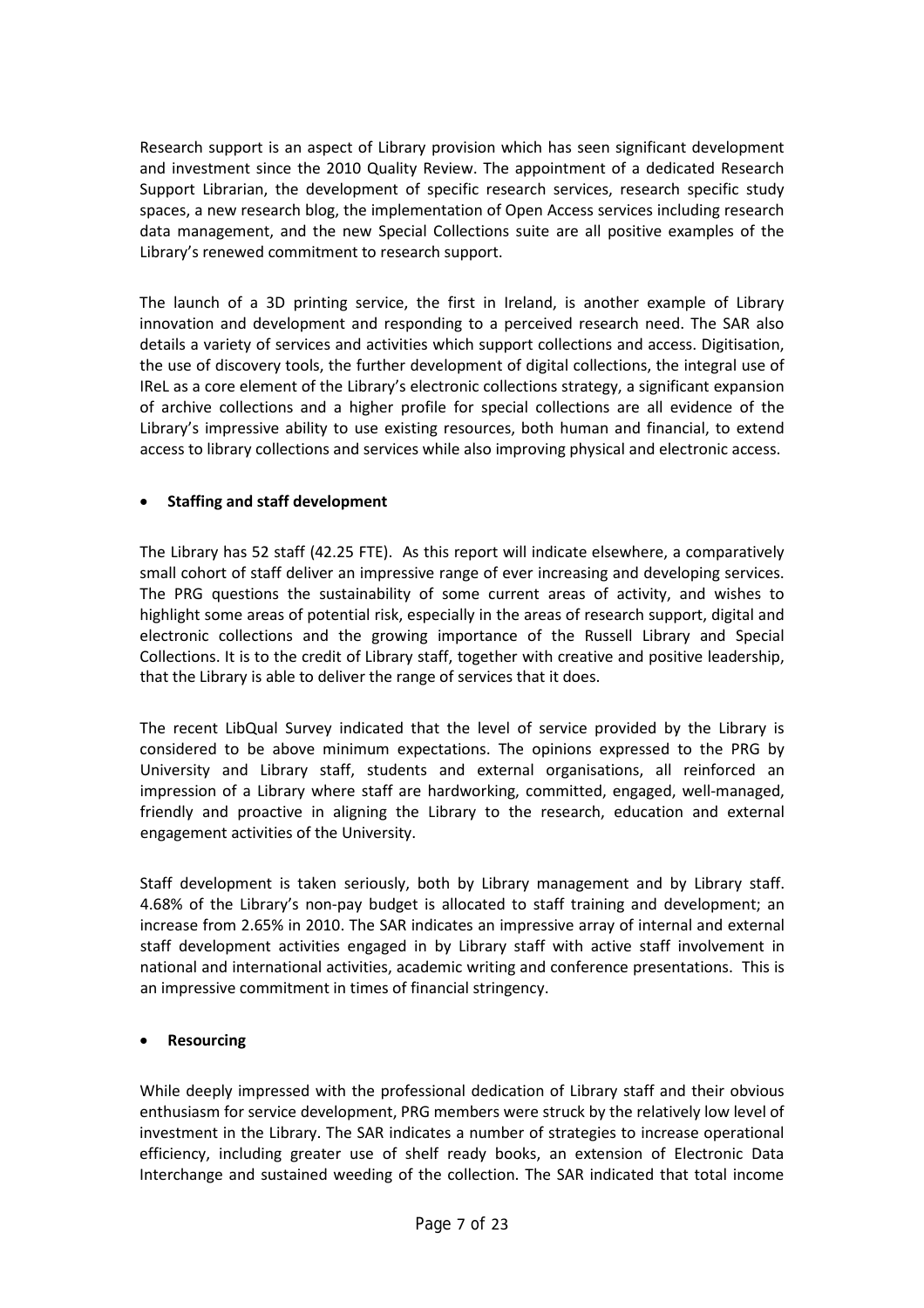Research support is an aspect of Library provision which has seen significant development and investment since the 2010 Quality Review. The appointment of a dedicated Research Support Librarian, the development of specific research services, research specific study spaces, a new research blog, the implementation of Open Access services including research data management, and the new Special Collections suite are all positive examples of the Library's renewed commitment to research support.

The launch of a 3D printing service, the first in Ireland, is another example of Library innovation and development and responding to a perceived research need. The SAR also details a variety of services and activities which support collections and access. Digitisation, the use of discovery tools, the further development of digital collections, the integral use of IReL as a core element of the Library's electronic collections strategy, a significant expansion of archive collections and a higher profile for special collections are all evidence of the Library's impressive ability to use existing resources, both human and financial, to extend access to library collections and services while also improving physical and electronic access.

#### • **Staffing and staff development**

The Library has 52 staff (42.25 FTE). As this report will indicate elsewhere, a comparatively small cohort of staff deliver an impressive range of ever increasing and developing services. The PRG questions the sustainability of some current areas of activity, and wishes to highlight some areas of potential risk, especially in the areas of research support, digital and electronic collections and the growing importance of the Russell Library and Special Collections. It is to the credit of Library staff, together with creative and positive leadership, that the Library is able to deliver the range of services that it does.

The recent LibQual Survey indicated that the level of service provided by the Library is considered to be above minimum expectations. The opinions expressed to the PRG by University and Library staff, students and external organisations, all reinforced an impression of a Library where staff are hardworking, committed, engaged, well-managed, friendly and proactive in aligning the Library to the research, education and external engagement activities of the University.

Staff development is taken seriously, both by Library management and by Library staff. 4.68% of the Library's non-pay budget is allocated to staff training and development; an increase from 2.65% in 2010. The SAR indicates an impressive array of internal and external staff development activities engaged in by Library staff with active staff involvement in national and international activities, academic writing and conference presentations. This is an impressive commitment in times of financial stringency.

#### • **Resourcing**

While deeply impressed with the professional dedication of Library staff and their obvious enthusiasm for service development, PRG members were struck by the relatively low level of investment in the Library. The SAR indicates a number of strategies to increase operational efficiency, including greater use of shelf ready books, an extension of Electronic Data Interchange and sustained weeding of the collection. The SAR indicated that total income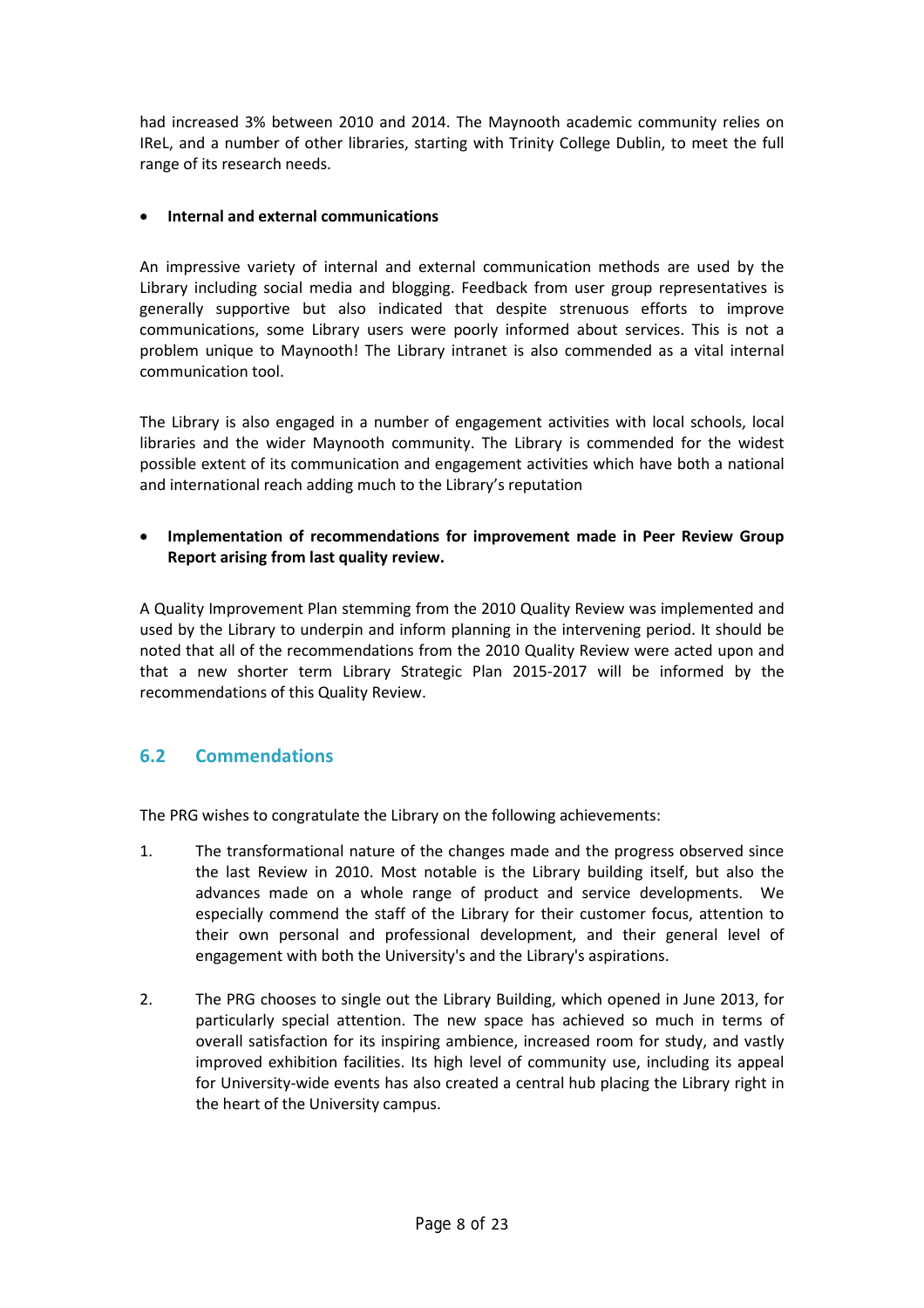had increased 3% between 2010 and 2014. The Maynooth academic community relies on IReL, and a number of other libraries, starting with Trinity College Dublin, to meet the full range of its research needs.

#### • **Internal and external communications**

An impressive variety of internal and external communication methods are used by the Library including social media and blogging. Feedback from user group representatives is generally supportive but also indicated that despite strenuous efforts to improve communications, some Library users were poorly informed about services. This is not a problem unique to Maynooth! The Library intranet is also commended as a vital internal communication tool.

The Library is also engaged in a number of engagement activities with local schools, local libraries and the wider Maynooth community. The Library is commended for the widest possible extent of its communication and engagement activities which have both a national and international reach adding much to the Library's reputation

• **Implementation of recommendations for improvement made in Peer Review Group Report arising from last quality review.**

A Quality Improvement Plan stemming from the 2010 Quality Review was implemented and used by the Library to underpin and inform planning in the intervening period. It should be noted that all of the recommendations from the 2010 Quality Review were acted upon and that a new shorter term Library Strategic Plan 2015-2017 will be informed by the recommendations of this Quality Review.

## **6.2 Commendations**

The PRG wishes to congratulate the Library on the following achievements:

- 1. The transformational nature of the changes made and the progress observed since the last Review in 2010. Most notable is the Library building itself, but also the advances made on a whole range of product and service developments. We especially commend the staff of the Library for their customer focus, attention to their own personal and professional development, and their general level of engagement with both the University's and the Library's aspirations.
- 2. The PRG chooses to single out the Library Building, which opened in June 2013, for particularly special attention. The new space has achieved so much in terms of overall satisfaction for its inspiring ambience, increased room for study, and vastly improved exhibition facilities. Its high level of community use, including its appeal for University-wide events has also created a central hub placing the Library right in the heart of the University campus.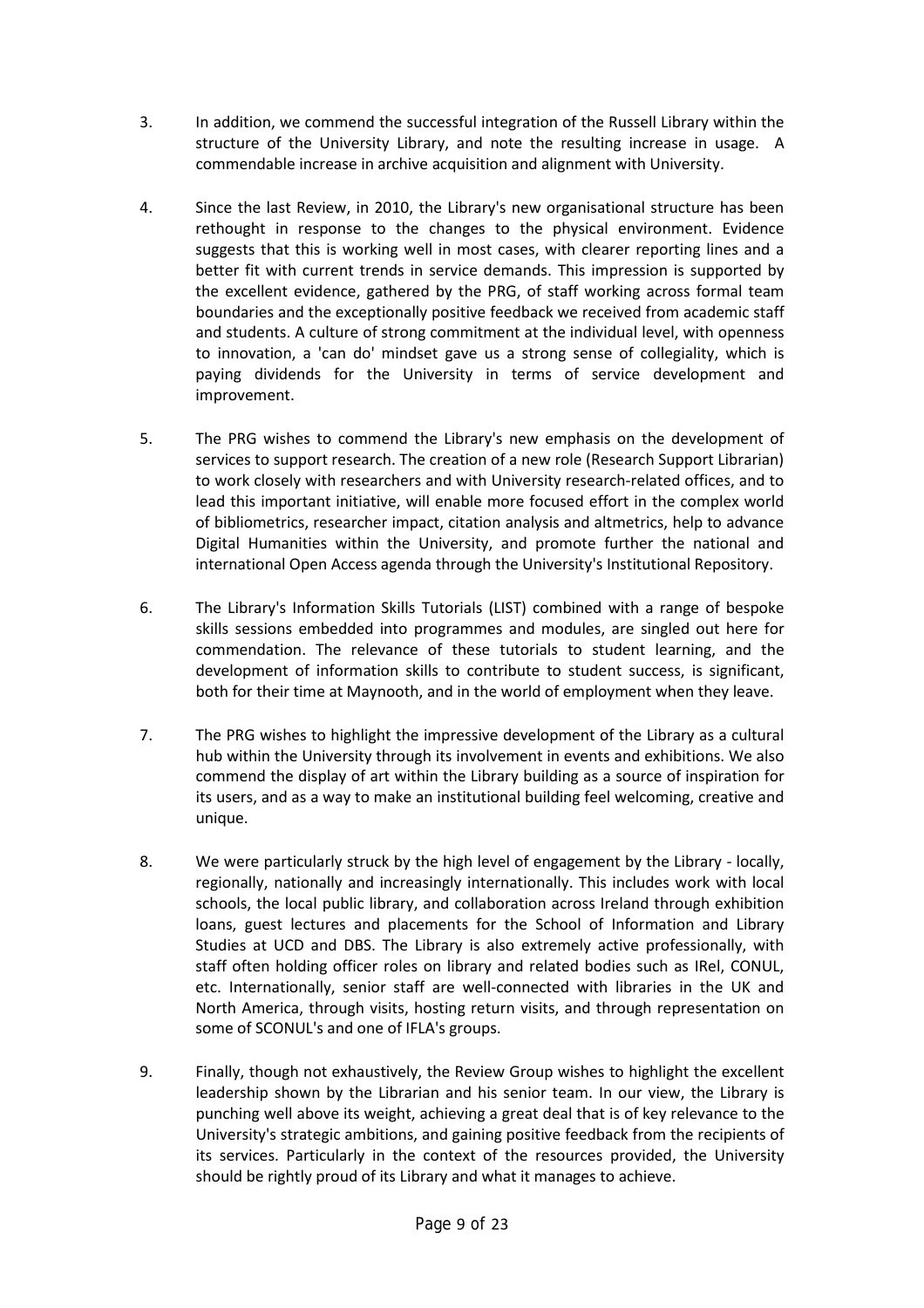- 3. In addition, we commend the successful integration of the Russell Library within the structure of the University Library, and note the resulting increase in usage. A commendable increase in archive acquisition and alignment with University.
- 4. Since the last Review, in 2010, the Library's new organisational structure has been rethought in response to the changes to the physical environment. Evidence suggests that this is working well in most cases, with clearer reporting lines and a better fit with current trends in service demands. This impression is supported by the excellent evidence, gathered by the PRG, of staff working across formal team boundaries and the exceptionally positive feedback we received from academic staff and students. A culture of strong commitment at the individual level, with openness to innovation, a 'can do' mindset gave us a strong sense of collegiality, which is paying dividends for the University in terms of service development and improvement.
- 5. The PRG wishes to commend the Library's new emphasis on the development of services to support research. The creation of a new role (Research Support Librarian) to work closely with researchers and with University research-related offices, and to lead this important initiative, will enable more focused effort in the complex world of bibliometrics, researcher impact, citation analysis and altmetrics, help to advance Digital Humanities within the University, and promote further the national and international Open Access agenda through the University's Institutional Repository.
- 6. The Library's Information Skills Tutorials (LIST) combined with a range of bespoke skills sessions embedded into programmes and modules, are singled out here for commendation. The relevance of these tutorials to student learning, and the development of information skills to contribute to student success, is significant, both for their time at Maynooth, and in the world of employment when they leave.
- 7. The PRG wishes to highlight the impressive development of the Library as a cultural hub within the University through its involvement in events and exhibitions. We also commend the display of art within the Library building as a source of inspiration for its users, and as a way to make an institutional building feel welcoming, creative and unique.
- 8. We were particularly struck by the high level of engagement by the Library locally, regionally, nationally and increasingly internationally. This includes work with local schools, the local public library, and collaboration across Ireland through exhibition loans, guest lectures and placements for the School of Information and Library Studies at UCD and DBS. The Library is also extremely active professionally, with staff often holding officer roles on library and related bodies such as IRel, CONUL, etc. Internationally, senior staff are well-connected with libraries in the UK and North America, through visits, hosting return visits, and through representation on some of SCONUL's and one of IFLA's groups.
- 9. Finally, though not exhaustively, the Review Group wishes to highlight the excellent leadership shown by the Librarian and his senior team. In our view, the Library is punching well above its weight, achieving a great deal that is of key relevance to the University's strategic ambitions, and gaining positive feedback from the recipients of its services. Particularly in the context of the resources provided, the University should be rightly proud of its Library and what it manages to achieve.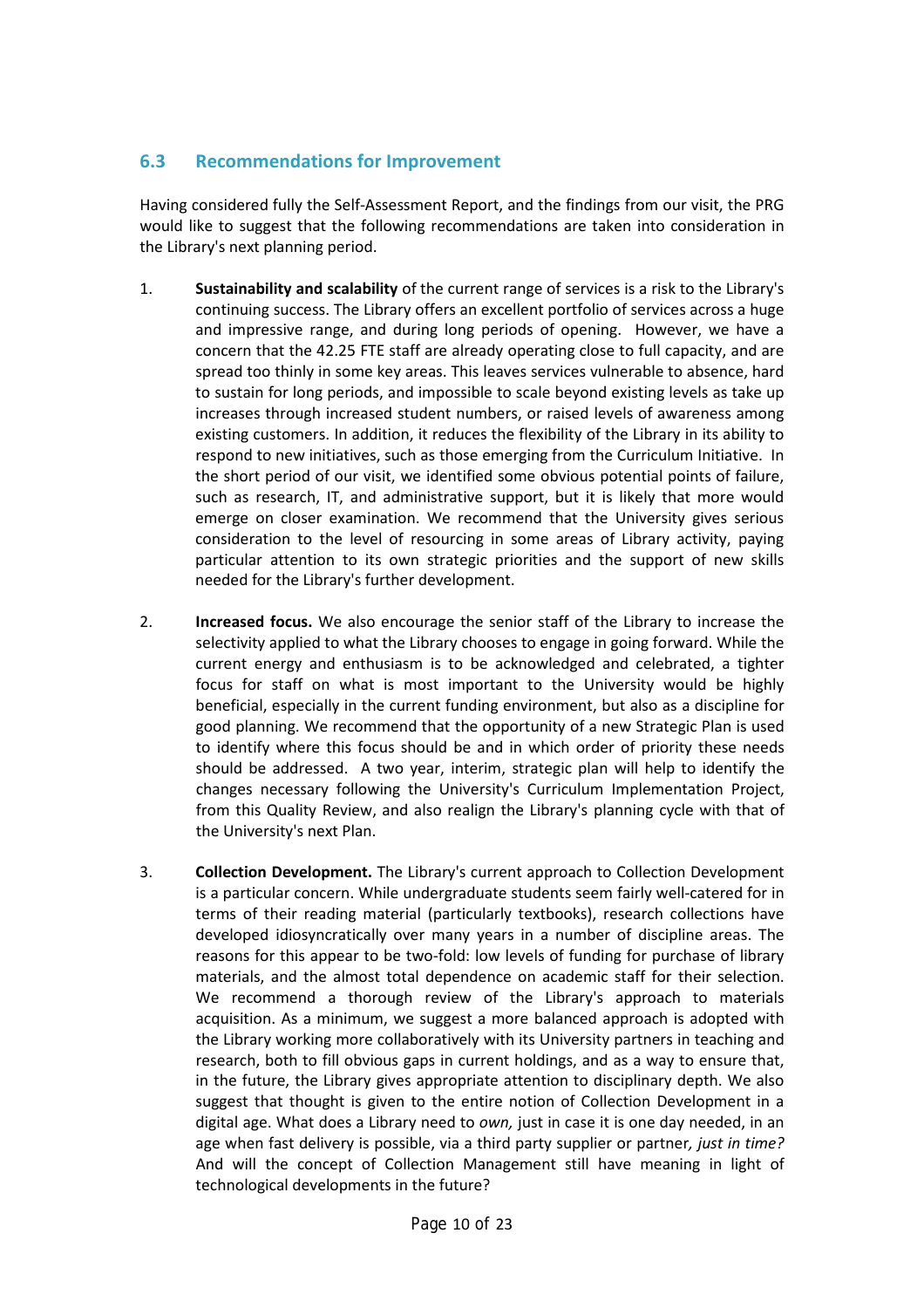## **6.3 Recommendations for Improvement**

Having considered fully the Self-Assessment Report, and the findings from our visit, the PRG would like to suggest that the following recommendations are taken into consideration in the Library's next planning period.

- 1. **Sustainability and scalability** of the current range of services is a risk to the Library's continuing success. The Library offers an excellent portfolio of services across a huge and impressive range, and during long periods of opening. However, we have a concern that the 42.25 FTE staff are already operating close to full capacity, and are spread too thinly in some key areas. This leaves services vulnerable to absence, hard to sustain for long periods, and impossible to scale beyond existing levels as take up increases through increased student numbers, or raised levels of awareness among existing customers. In addition, it reduces the flexibility of the Library in its ability to respond to new initiatives, such as those emerging from the Curriculum Initiative. In the short period of our visit, we identified some obvious potential points of failure, such as research, IT, and administrative support, but it is likely that more would emerge on closer examination. We recommend that the University gives serious consideration to the level of resourcing in some areas of Library activity, paying particular attention to its own strategic priorities and the support of new skills needed for the Library's further development.
- 2. **Increased focus.** We also encourage the senior staff of the Library to increase the selectivity applied to what the Library chooses to engage in going forward. While the current energy and enthusiasm is to be acknowledged and celebrated, a tighter focus for staff on what is most important to the University would be highly beneficial, especially in the current funding environment, but also as a discipline for good planning. We recommend that the opportunity of a new Strategic Plan is used to identify where this focus should be and in which order of priority these needs should be addressed. A two year, interim, strategic plan will help to identify the changes necessary following the University's Curriculum Implementation Project, from this Quality Review, and also realign the Library's planning cycle with that of the University's next Plan.
- 3. **Collection Development.** The Library's current approach to Collection Development is a particular concern. While undergraduate students seem fairly well-catered for in terms of their reading material (particularly textbooks), research collections have developed idiosyncratically over many years in a number of discipline areas. The reasons for this appear to be two-fold: low levels of funding for purchase of library materials, and the almost total dependence on academic staff for their selection. We recommend a thorough review of the Library's approach to materials acquisition. As a minimum, we suggest a more balanced approach is adopted with the Library working more collaboratively with its University partners in teaching and research, both to fill obvious gaps in current holdings, and as a way to ensure that, in the future, the Library gives appropriate attention to disciplinary depth. We also suggest that thought is given to the entire notion of Collection Development in a digital age. What does a Library need to *own,* just in case it is one day needed, in an age when fast delivery is possible, via a third party supplier or partner*, just in time?* And will the concept of Collection Management still have meaning in light of technological developments in the future?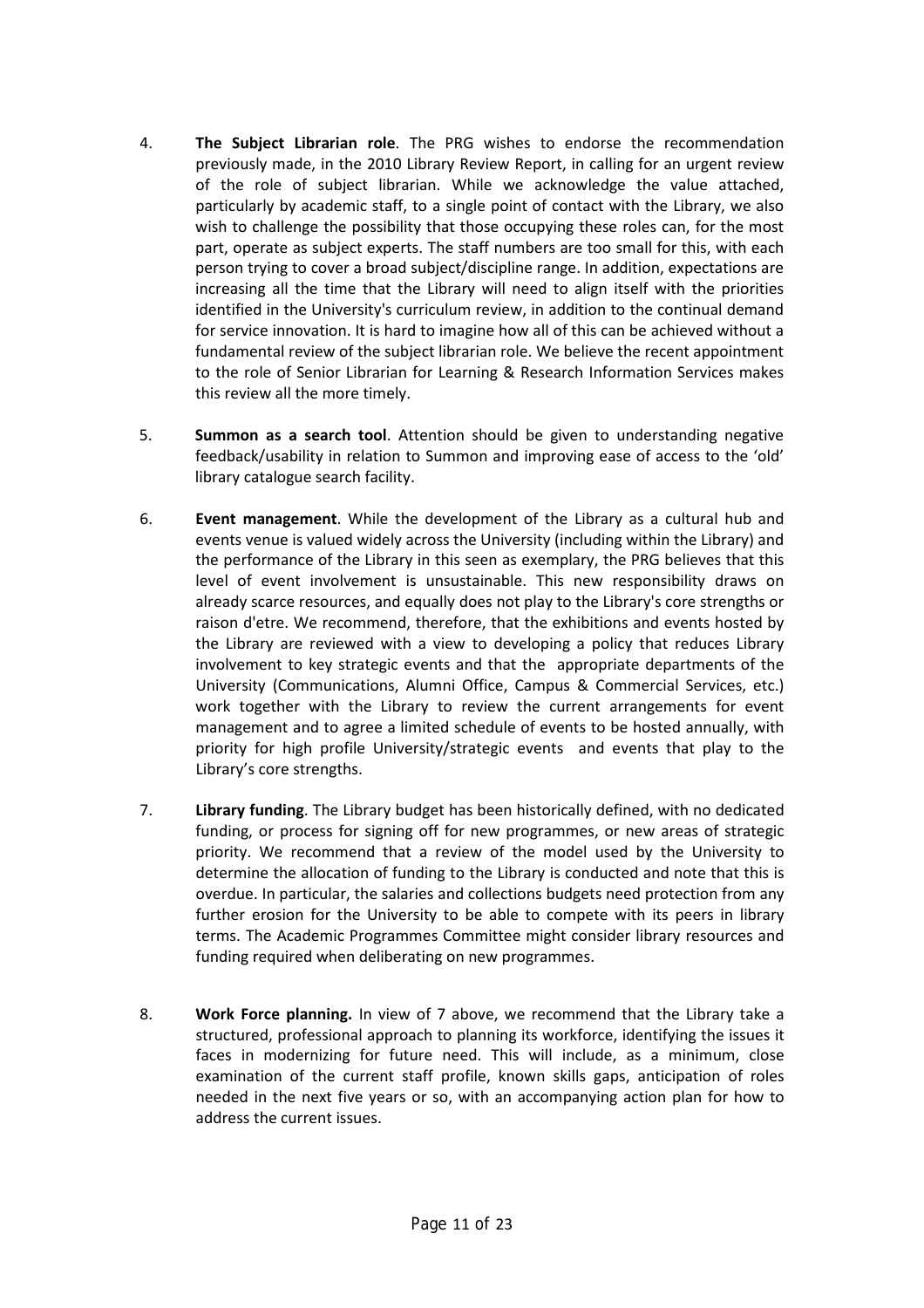- 4. **The Subject Librarian role**. The PRG wishes to endorse the recommendation previously made, in the 2010 Library Review Report, in calling for an urgent review of the role of subject librarian. While we acknowledge the value attached, particularly by academic staff, to a single point of contact with the Library, we also wish to challenge the possibility that those occupying these roles can, for the most part, operate as subject experts. The staff numbers are too small for this, with each person trying to cover a broad subject/discipline range. In addition, expectations are increasing all the time that the Library will need to align itself with the priorities identified in the University's curriculum review, in addition to the continual demand for service innovation. It is hard to imagine how all of this can be achieved without a fundamental review of the subject librarian role. We believe the recent appointment to the role of Senior Librarian for Learning & Research Information Services makes this review all the more timely.
- 5. **Summon as a search tool**. Attention should be given to understanding negative feedback/usability in relation to Summon and improving ease of access to the 'old' library catalogue search facility.
- 6. **Event management**. While the development of the Library as a cultural hub and events venue is valued widely across the University (including within the Library) and the performance of the Library in this seen as exemplary, the PRG believes that this level of event involvement is unsustainable. This new responsibility draws on already scarce resources, and equally does not play to the Library's core strengths or raison d'etre. We recommend, therefore, that the exhibitions and events hosted by the Library are reviewed with a view to developing a policy that reduces Library involvement to key strategic events and that the appropriate departments of the University (Communications, Alumni Office, Campus & Commercial Services, etc.) work together with the Library to review the current arrangements for event management and to agree a limited schedule of events to be hosted annually, with priority for high profile University/strategic events and events that play to the Library's core strengths.
- 7. **Library funding**. The Library budget has been historically defined, with no dedicated funding, or process for signing off for new programmes, or new areas of strategic priority. We recommend that a review of the model used by the University to determine the allocation of funding to the Library is conducted and note that this is overdue. In particular, the salaries and collections budgets need protection from any further erosion for the University to be able to compete with its peers in library terms. The Academic Programmes Committee might consider library resources and funding required when deliberating on new programmes.
- 8. **Work Force planning.** In view of 7 above, we recommend that the Library take a structured, professional approach to planning its workforce, identifying the issues it faces in modernizing for future need. This will include, as a minimum, close examination of the current staff profile, known skills gaps, anticipation of roles needed in the next five years or so, with an accompanying action plan for how to address the current issues.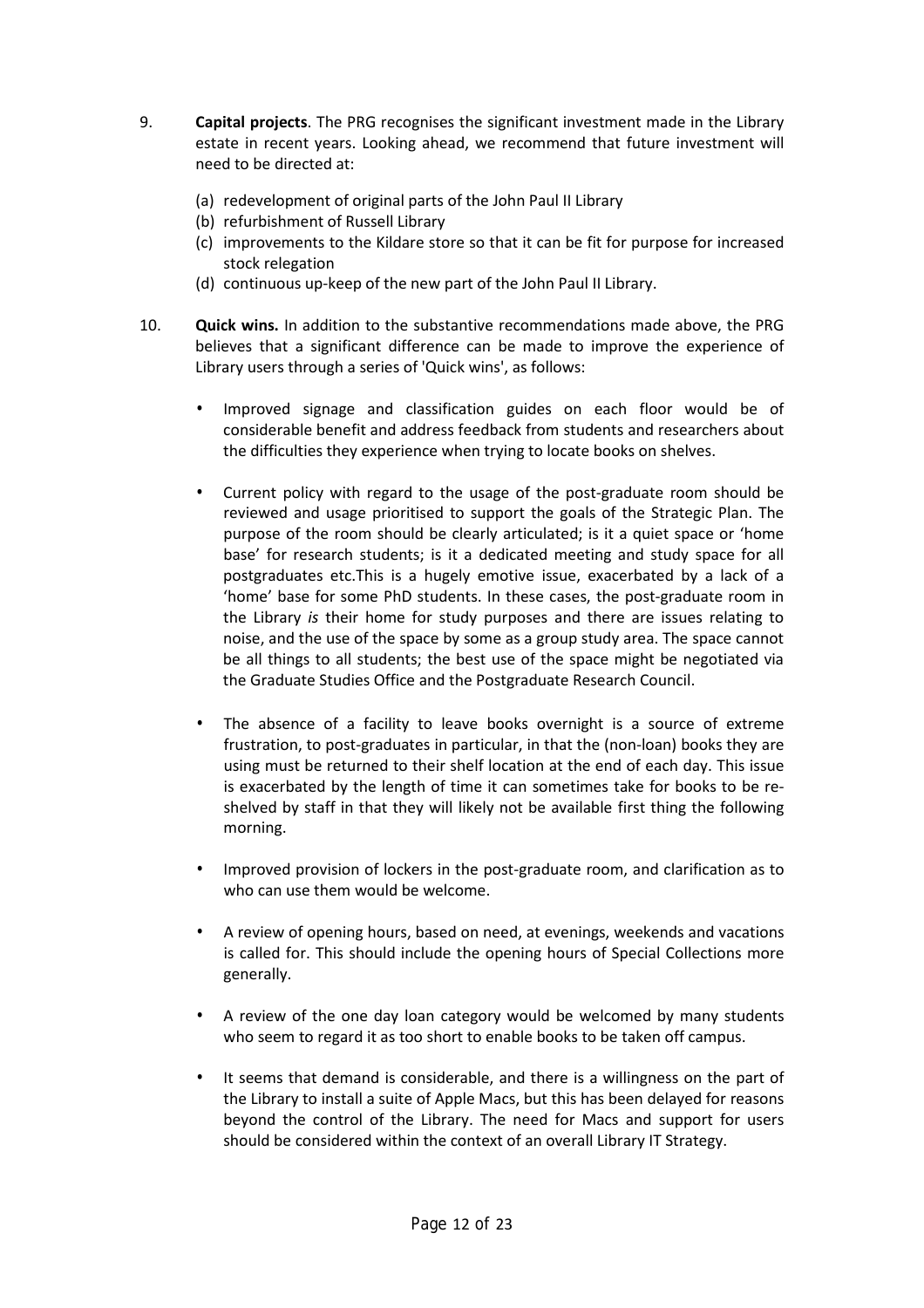- 9. **Capital projects**. The PRG recognises the significant investment made in the Library estate in recent years. Looking ahead, we recommend that future investment will need to be directed at:
	- (a) redevelopment of original parts of the John Paul II Library
	- (b) refurbishment of Russell Library
	- (c) improvements to the Kildare store so that it can be fit for purpose for increased stock relegation
	- (d) continuous up-keep of the new part of the John Paul II Library.
- 10. **Quick wins.** In addition to the substantive recommendations made above, the PRG believes that a significant difference can be made to improve the experience of Library users through a series of 'Quick wins', as follows:
	- Improved signage and classification guides on each floor would be of considerable benefit and address feedback from students and researchers about the difficulties they experience when trying to locate books on shelves.
	- Current policy with regard to the usage of the post-graduate room should be reviewed and usage prioritised to support the goals of the Strategic Plan. The purpose of the room should be clearly articulated; is it a quiet space or 'home base' for research students; is it a dedicated meeting and study space for all postgraduates etc.This is a hugely emotive issue, exacerbated by a lack of a 'home' base for some PhD students. In these cases, the post-graduate room in the Library *is* their home for study purposes and there are issues relating to noise, and the use of the space by some as a group study area. The space cannot be all things to all students; the best use of the space might be negotiated via the Graduate Studies Office and the Postgraduate Research Council.
	- The absence of a facility to leave books overnight is a source of extreme frustration, to post-graduates in particular, in that the (non-loan) books they are using must be returned to their shelf location at the end of each day. This issue is exacerbated by the length of time it can sometimes take for books to be reshelved by staff in that they will likely not be available first thing the following morning.
	- Improved provision of lockers in the post-graduate room, and clarification as to who can use them would be welcome.
	- A review of opening hours, based on need, at evenings, weekends and vacations is called for. This should include the opening hours of Special Collections more generally.
	- A review of the one day loan category would be welcomed by many students who seem to regard it as too short to enable books to be taken off campus.
	- It seems that demand is considerable, and there is a willingness on the part of the Library to install a suite of Apple Macs, but this has been delayed for reasons beyond the control of the Library. The need for Macs and support for users should be considered within the context of an overall Library IT Strategy.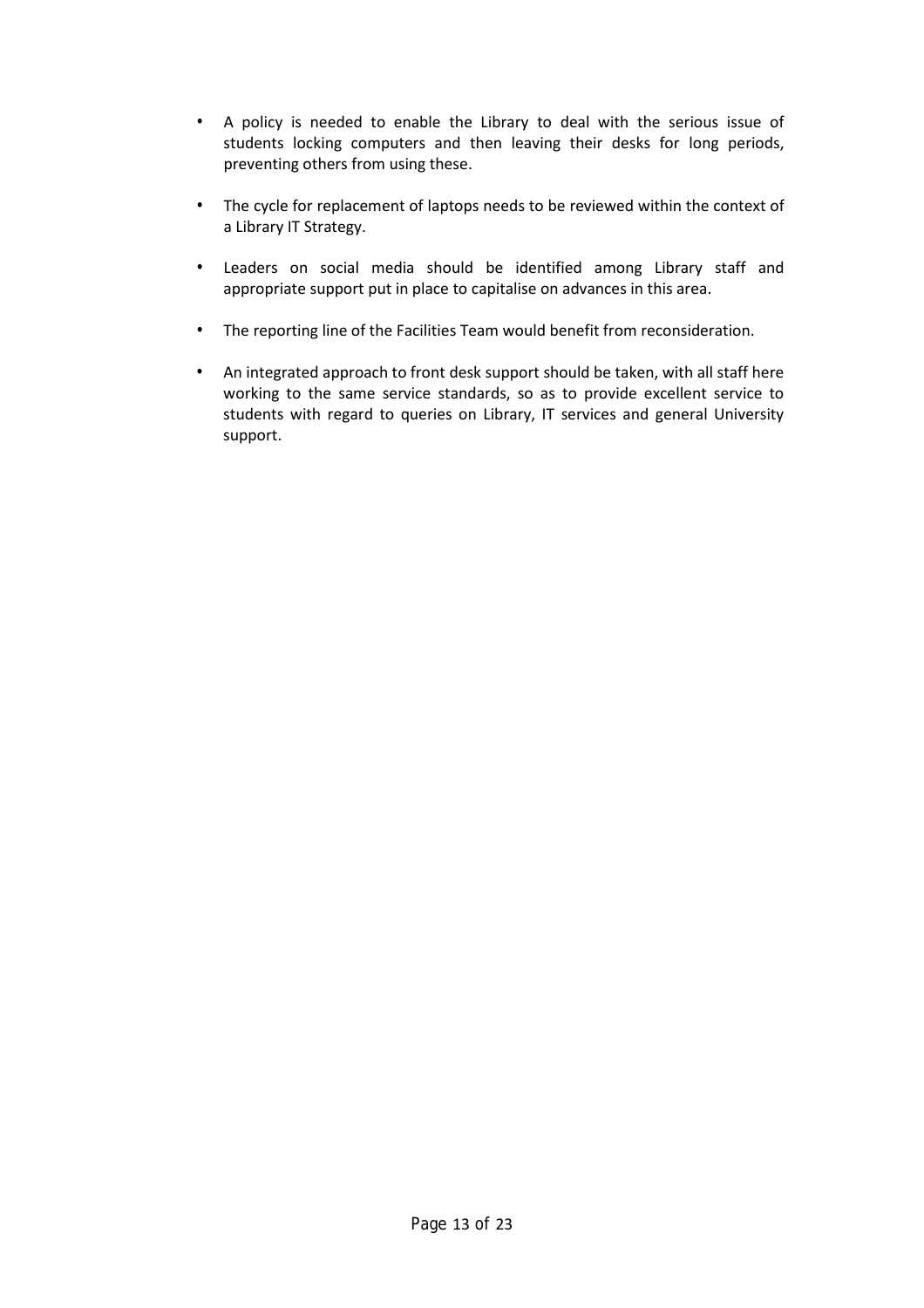- A policy is needed to enable the Library to deal with the serious issue of students locking computers and then leaving their desks for long periods, preventing others from using these.
- The cycle for replacement of laptops needs to be reviewed within the context of a Library IT Strategy.
- Leaders on social media should be identified among Library staff and appropriate support put in place to capitalise on advances in this area.
- The reporting line of the Facilities Team would benefit from reconsideration.
- An integrated approach to front desk support should be taken, with all staff here working to the same service standards, so as to provide excellent service to students with regard to queries on Library, IT services and general University support.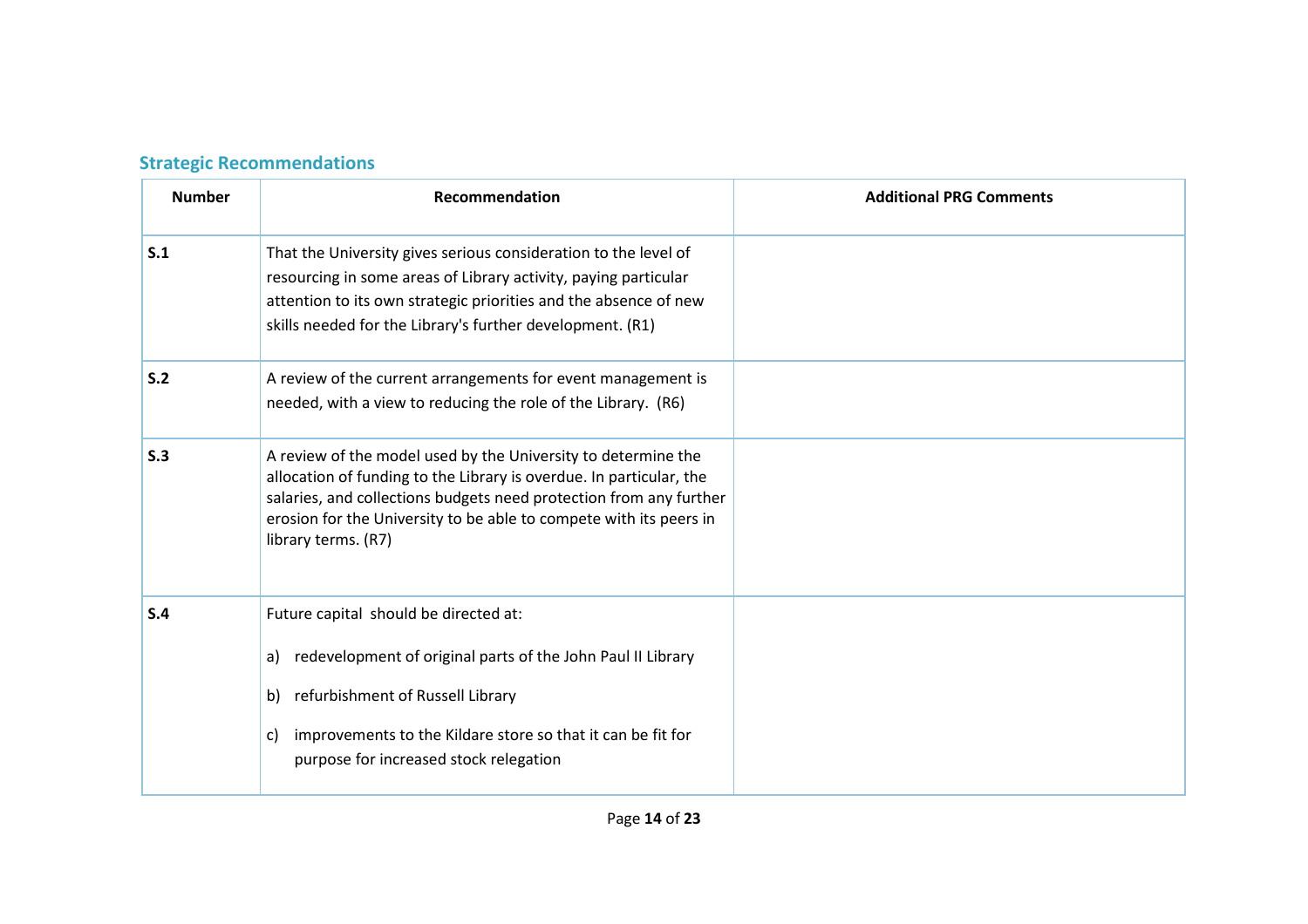## **Strategic Recommendations**

| <b>Number</b> | Recommendation                                                                                                                                                                                                                                                                                          | <b>Additional PRG Comments</b> |
|---------------|---------------------------------------------------------------------------------------------------------------------------------------------------------------------------------------------------------------------------------------------------------------------------------------------------------|--------------------------------|
| S.1           | That the University gives serious consideration to the level of<br>resourcing in some areas of Library activity, paying particular<br>attention to its own strategic priorities and the absence of new<br>skills needed for the Library's further development. (R1)                                     |                                |
| S.2           | A review of the current arrangements for event management is<br>needed, with a view to reducing the role of the Library. (R6)                                                                                                                                                                           |                                |
| S.3           | A review of the model used by the University to determine the<br>allocation of funding to the Library is overdue. In particular, the<br>salaries, and collections budgets need protection from any further<br>erosion for the University to be able to compete with its peers in<br>library terms. (R7) |                                |
| S.4           | Future capital should be directed at:<br>redevelopment of original parts of the John Paul II Library<br>a)<br>refurbishment of Russell Library<br>b)<br>improvements to the Kildare store so that it can be fit for<br>C)<br>purpose for increased stock relegation                                     |                                |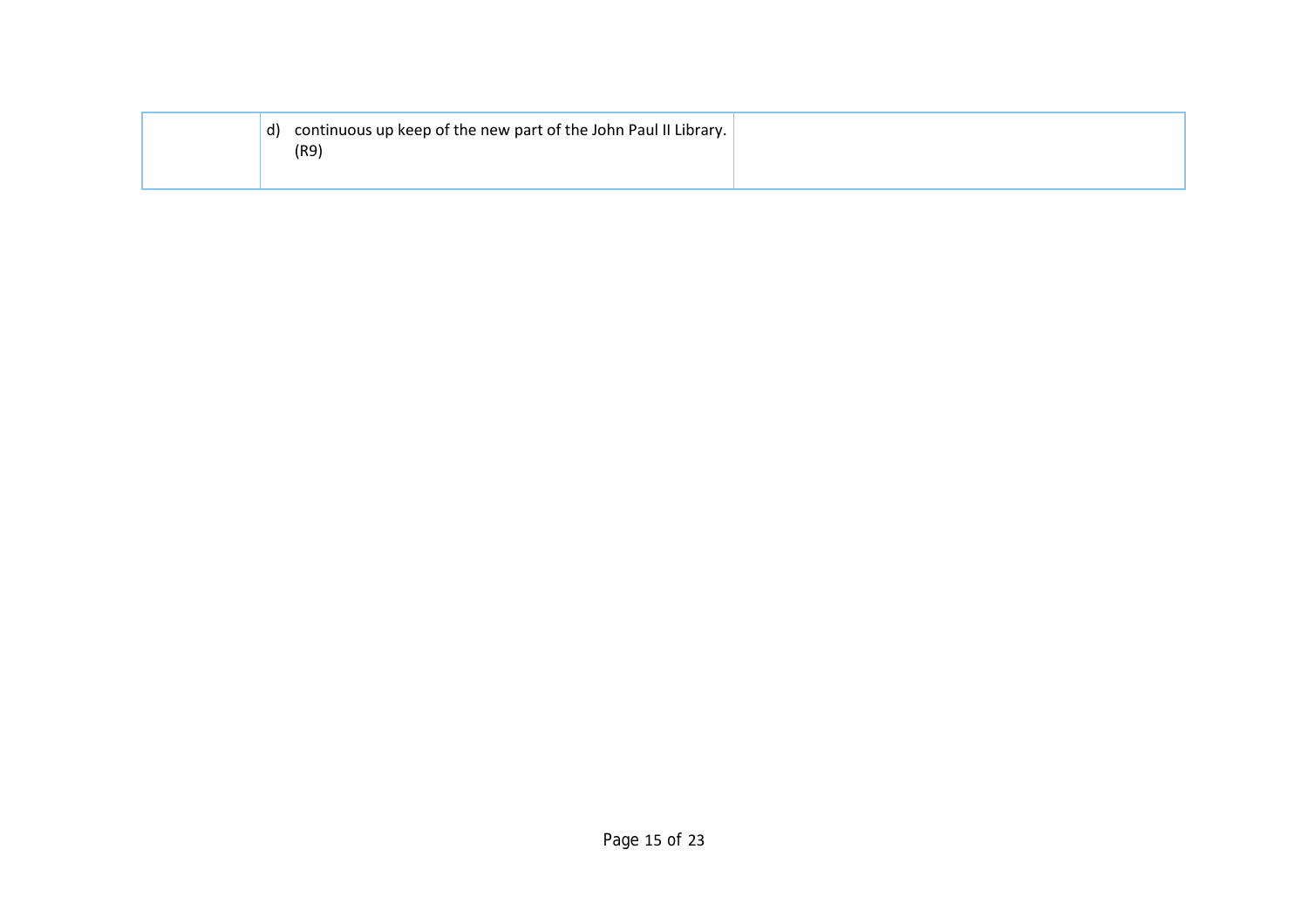| d) continuous up keep of the new part of the John Paul II Library.<br>(R9 |  |
|---------------------------------------------------------------------------|--|
|                                                                           |  |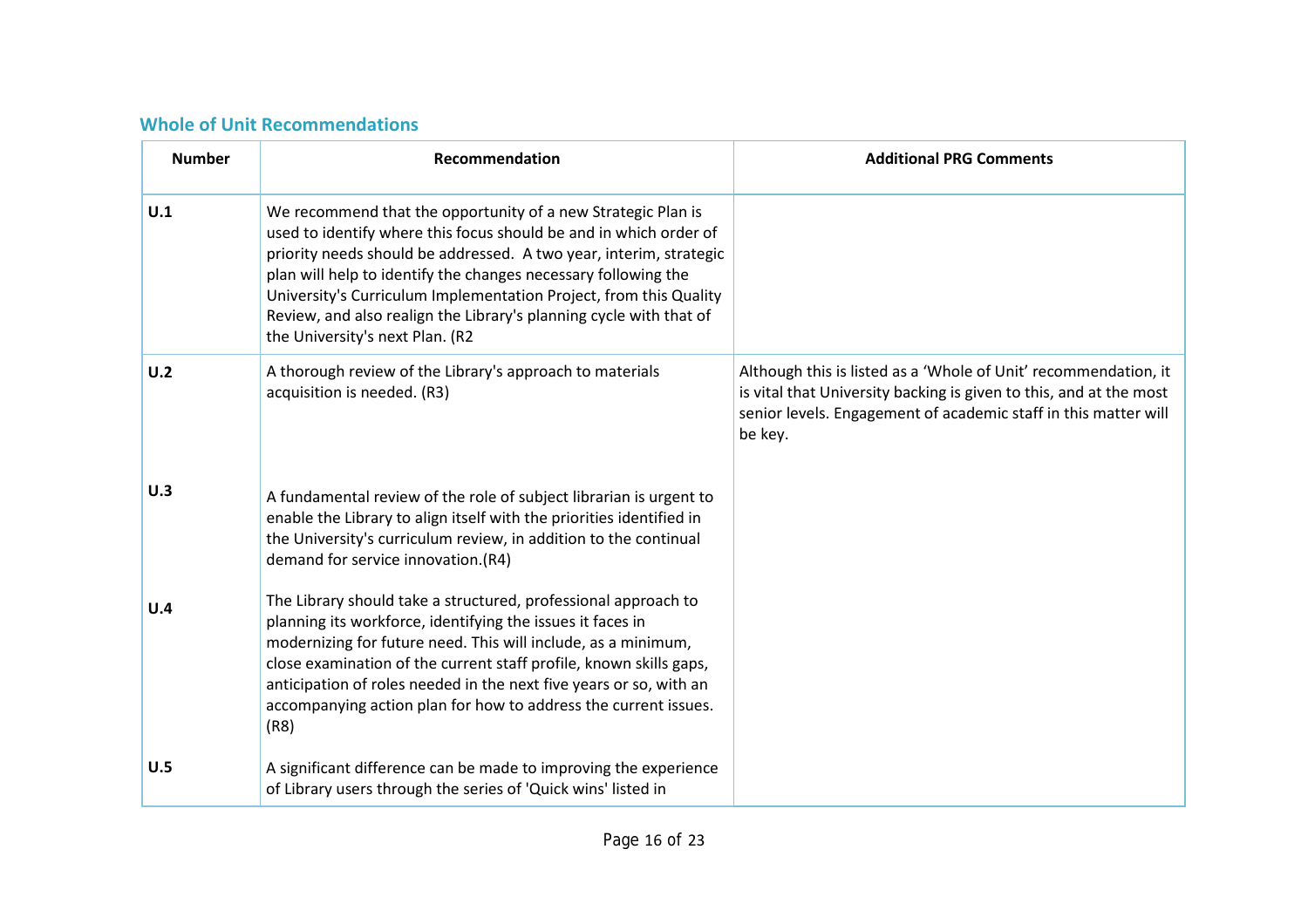## **Whole of Unit Recommendations**

| <b>Number</b> | <b>Recommendation</b>                                                                                                                                                                                                                                                                                                                                                                                                                                   | <b>Additional PRG Comments</b>                                                                                                                                                                                      |
|---------------|---------------------------------------------------------------------------------------------------------------------------------------------------------------------------------------------------------------------------------------------------------------------------------------------------------------------------------------------------------------------------------------------------------------------------------------------------------|---------------------------------------------------------------------------------------------------------------------------------------------------------------------------------------------------------------------|
| U.1           | We recommend that the opportunity of a new Strategic Plan is<br>used to identify where this focus should be and in which order of<br>priority needs should be addressed. A two year, interim, strategic<br>plan will help to identify the changes necessary following the<br>University's Curriculum Implementation Project, from this Quality<br>Review, and also realign the Library's planning cycle with that of<br>the University's next Plan. (R2 |                                                                                                                                                                                                                     |
| U.2           | A thorough review of the Library's approach to materials<br>acquisition is needed. (R3)                                                                                                                                                                                                                                                                                                                                                                 | Although this is listed as a 'Whole of Unit' recommendation, it<br>is vital that University backing is given to this, and at the most<br>senior levels. Engagement of academic staff in this matter will<br>be key. |
| U.3           | A fundamental review of the role of subject librarian is urgent to<br>enable the Library to align itself with the priorities identified in<br>the University's curriculum review, in addition to the continual<br>demand for service innovation.(R4)                                                                                                                                                                                                    |                                                                                                                                                                                                                     |
| U.4           | The Library should take a structured, professional approach to<br>planning its workforce, identifying the issues it faces in<br>modernizing for future need. This will include, as a minimum,<br>close examination of the current staff profile, known skills gaps,<br>anticipation of roles needed in the next five years or so, with an<br>accompanying action plan for how to address the current issues.<br>(R8)                                    |                                                                                                                                                                                                                     |
| U.5           | A significant difference can be made to improving the experience<br>of Library users through the series of 'Quick wins' listed in                                                                                                                                                                                                                                                                                                                       |                                                                                                                                                                                                                     |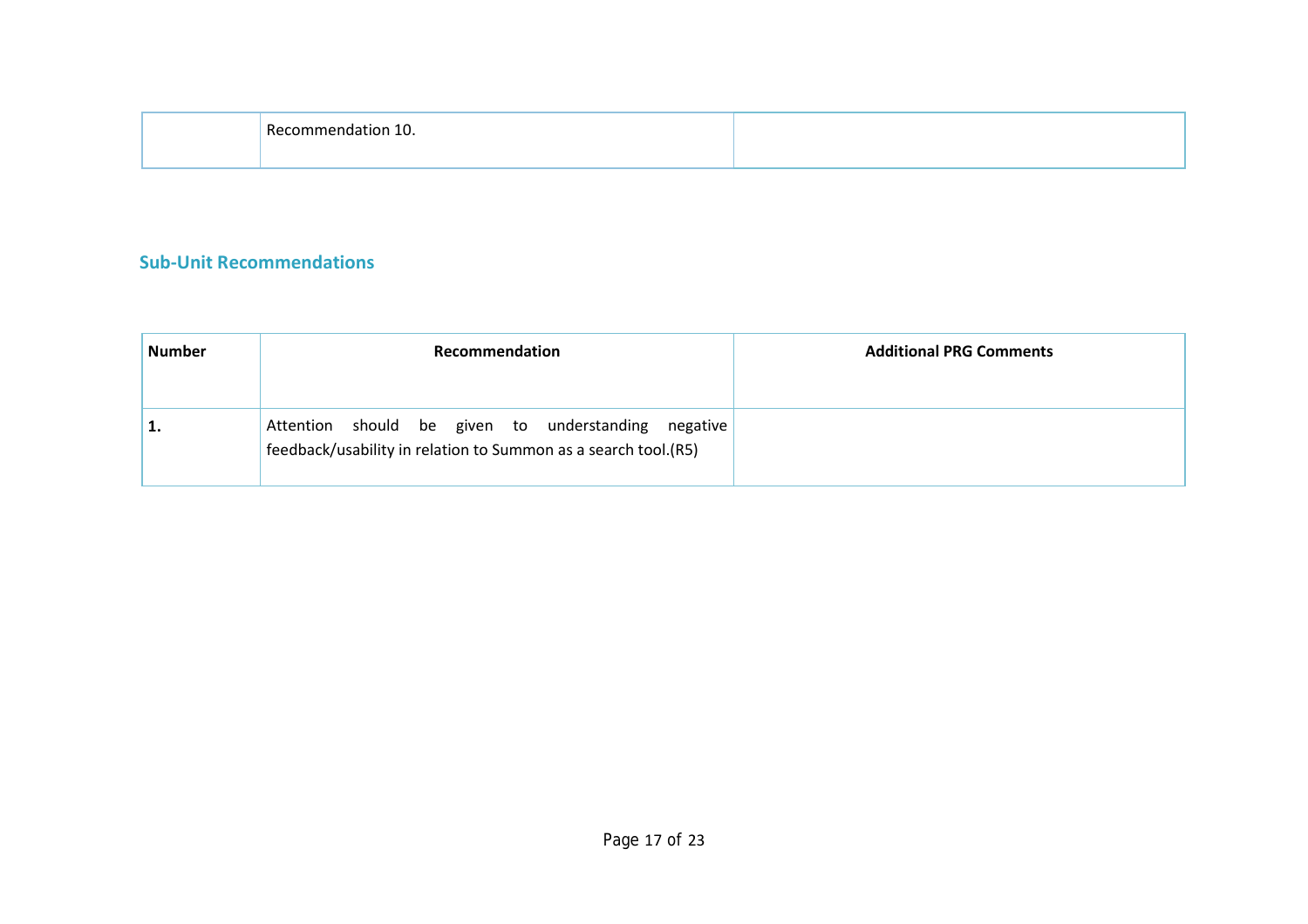| D.<br>ы.<br>τu. |  |
|-----------------|--|
|                 |  |

## **Sub-Unit Recommendations**

| <b>Number</b> | <b>Recommendation</b>                                                                                                 | <b>Additional PRG Comments</b> |
|---------------|-----------------------------------------------------------------------------------------------------------------------|--------------------------------|
| <b>.</b>      | Attention should be given to understanding negative<br>feedback/usability in relation to Summon as a search tool.(R5) |                                |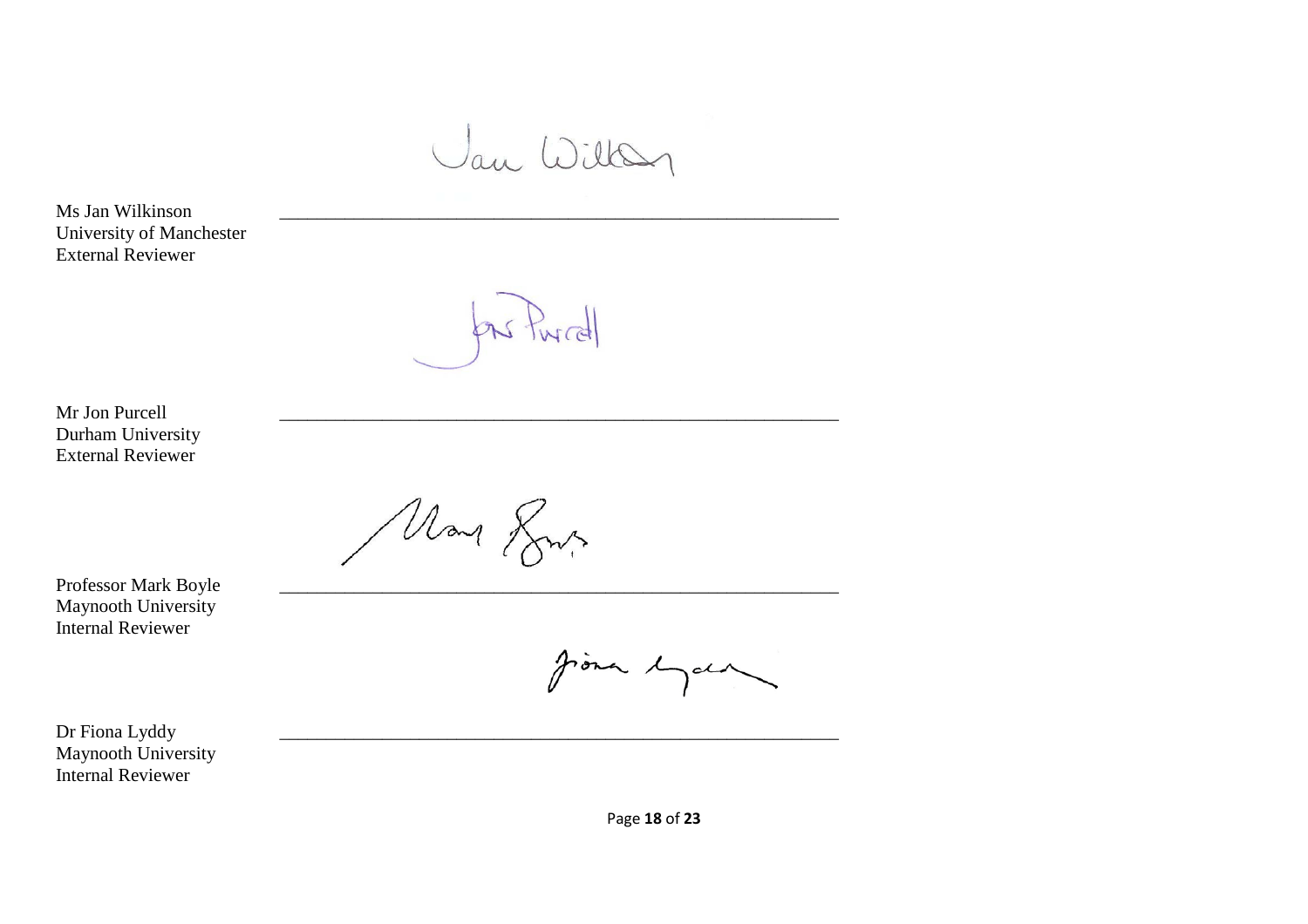Jan Willen

Ms Jan Wilkinson University of Manchester External Reviewer

Purcell

Mr Jon Purcell Durham University External Reviewer

May Rus

Professor Mark Boyle Maynooth University Internal Reviewer

Jona 1 rala

Dr Fiona Lyddy Maynooth University Internal Reviewer

Page **18** of **23**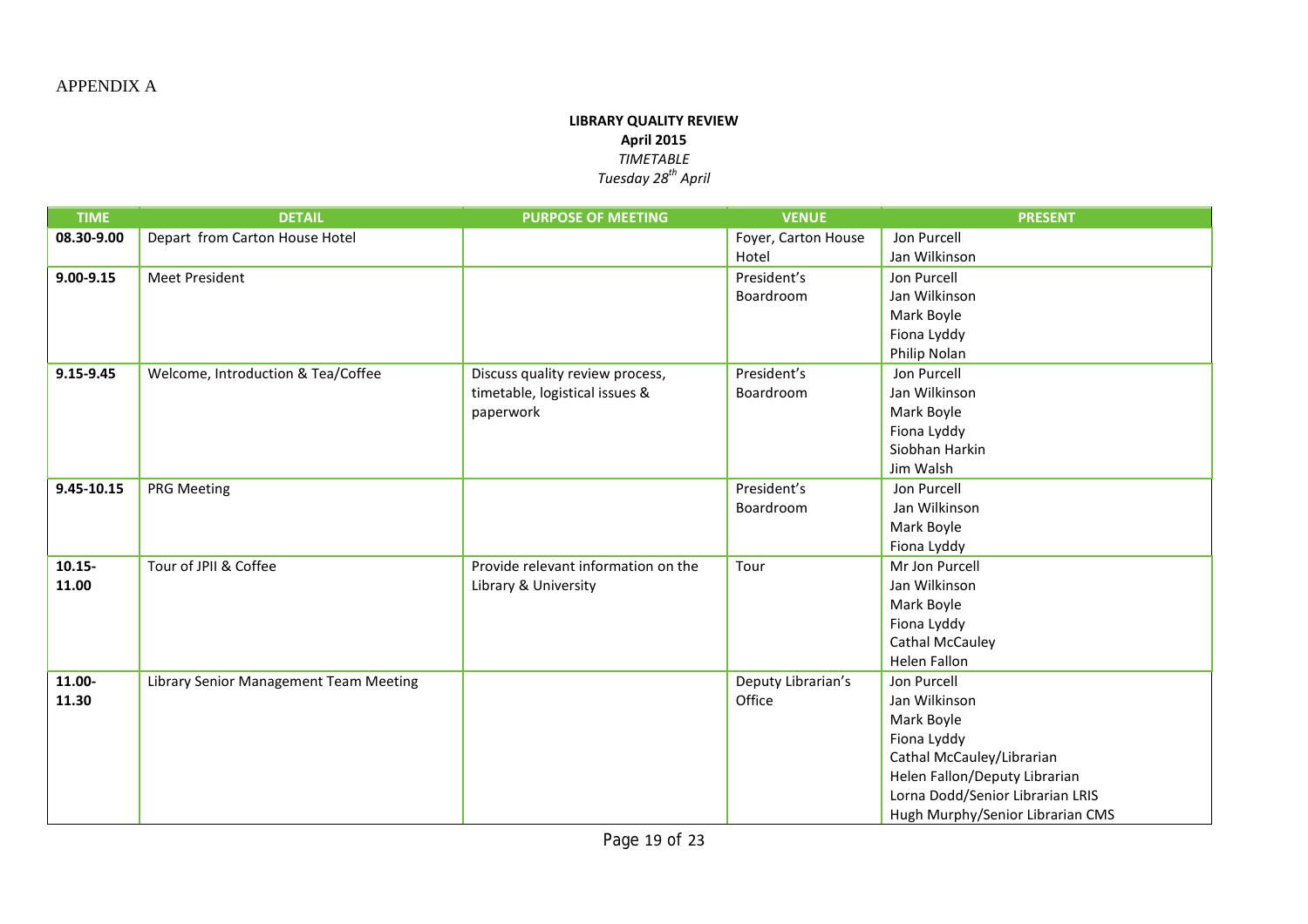#### **LIBRARY QUALITY REVIEW April 2015** *TIMETABLE Tuesday 28th April*

| <b>TIME</b>   | <b>DETAIL</b>                          | <b>PURPOSE OF MEETING</b>           | <b>VENUE</b>        | <b>PRESENT</b>                                                    |
|---------------|----------------------------------------|-------------------------------------|---------------------|-------------------------------------------------------------------|
| 08.30-9.00    | Depart from Carton House Hotel         |                                     | Foyer, Carton House | Jon Purcell                                                       |
|               |                                        |                                     | Hotel               | Jan Wilkinson                                                     |
| $9.00 - 9.15$ | <b>Meet President</b>                  |                                     | President's         | Jon Purcell                                                       |
|               |                                        |                                     | Boardroom           | Jan Wilkinson                                                     |
|               |                                        |                                     |                     | Mark Boyle                                                        |
|               |                                        |                                     |                     | Fiona Lyddy                                                       |
|               |                                        |                                     |                     | Philip Nolan                                                      |
| 9.15-9.45     | Welcome, Introduction & Tea/Coffee     | Discuss quality review process,     | President's         | Jon Purcell                                                       |
|               |                                        | timetable, logistical issues &      | Boardroom           | Jan Wilkinson                                                     |
|               |                                        | paperwork                           |                     | Mark Boyle                                                        |
|               |                                        |                                     |                     | Fiona Lyddy                                                       |
|               |                                        |                                     |                     | Siobhan Harkin                                                    |
|               |                                        |                                     |                     | Jim Walsh                                                         |
| 9.45-10.15    | <b>PRG Meeting</b>                     |                                     | President's         | Jon Purcell                                                       |
|               |                                        |                                     | Boardroom           | Jan Wilkinson                                                     |
|               |                                        |                                     |                     | Mark Boyle                                                        |
|               |                                        |                                     |                     | Fiona Lyddy                                                       |
| $10.15 -$     | Tour of JPII & Coffee                  | Provide relevant information on the | Tour                | Mr Jon Purcell                                                    |
| 11.00         |                                        | Library & University                |                     | Jan Wilkinson                                                     |
|               |                                        |                                     |                     | Mark Boyle                                                        |
|               |                                        |                                     |                     | Fiona Lyddy                                                       |
|               |                                        |                                     |                     | <b>Cathal McCauley</b>                                            |
|               |                                        |                                     |                     | Helen Fallon                                                      |
| 11.00-        | Library Senior Management Team Meeting |                                     | Deputy Librarian's  | Jon Purcell                                                       |
| 11.30         |                                        |                                     | Office              | Jan Wilkinson                                                     |
|               |                                        |                                     |                     | Mark Boyle                                                        |
|               |                                        |                                     |                     | Fiona Lyddy                                                       |
|               |                                        |                                     |                     | Cathal McCauley/Librarian                                         |
|               |                                        |                                     |                     | Helen Fallon/Deputy Librarian<br>Lorna Dodd/Senior Librarian LRIS |
|               |                                        |                                     |                     |                                                                   |
|               |                                        |                                     |                     | Hugh Murphy/Senior Librarian CMS                                  |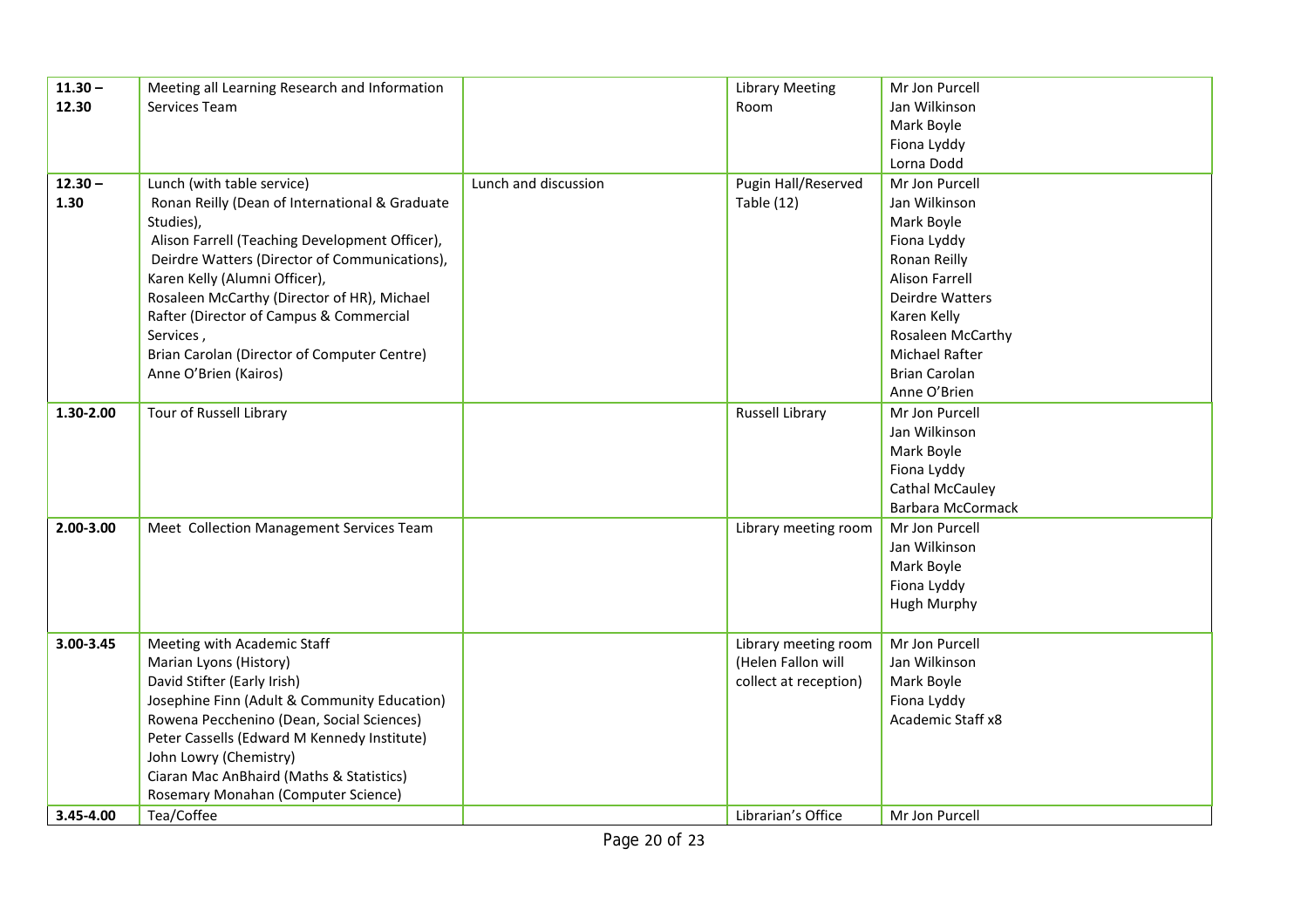| 12.30<br>Services Team<br>Jan Wilkinson<br>Room<br>Mark Boyle<br>Fiona Lyddy<br>Lorna Dodd<br>Lunch (with table service)<br>Lunch and discussion<br>Pugin Hall/Reserved<br>$12.30 -$<br>Mr Jon Purcell<br>1.30<br>Ronan Reilly (Dean of International & Graduate<br><b>Table (12)</b><br>Jan Wilkinson<br>Studies),<br>Mark Boyle<br>Alison Farrell (Teaching Development Officer),<br>Fiona Lyddy<br>Deirdre Watters (Director of Communications),<br>Ronan Reilly | $11.30 -$ | Meeting all Learning Research and Information | <b>Library Meeting</b> | Mr Jon Purcell        |
|---------------------------------------------------------------------------------------------------------------------------------------------------------------------------------------------------------------------------------------------------------------------------------------------------------------------------------------------------------------------------------------------------------------------------------------------------------------------|-----------|-----------------------------------------------|------------------------|-----------------------|
|                                                                                                                                                                                                                                                                                                                                                                                                                                                                     |           |                                               |                        |                       |
|                                                                                                                                                                                                                                                                                                                                                                                                                                                                     |           |                                               |                        |                       |
|                                                                                                                                                                                                                                                                                                                                                                                                                                                                     |           |                                               |                        |                       |
|                                                                                                                                                                                                                                                                                                                                                                                                                                                                     |           |                                               |                        |                       |
|                                                                                                                                                                                                                                                                                                                                                                                                                                                                     |           |                                               |                        |                       |
|                                                                                                                                                                                                                                                                                                                                                                                                                                                                     |           |                                               |                        |                       |
|                                                                                                                                                                                                                                                                                                                                                                                                                                                                     |           |                                               |                        |                       |
|                                                                                                                                                                                                                                                                                                                                                                                                                                                                     |           |                                               |                        |                       |
|                                                                                                                                                                                                                                                                                                                                                                                                                                                                     |           |                                               |                        |                       |
|                                                                                                                                                                                                                                                                                                                                                                                                                                                                     |           | Karen Kelly (Alumni Officer),                 |                        | <b>Alison Farrell</b> |
| Rosaleen McCarthy (Director of HR), Michael<br>Deirdre Watters                                                                                                                                                                                                                                                                                                                                                                                                      |           |                                               |                        |                       |
| Rafter (Director of Campus & Commercial<br>Karen Kelly                                                                                                                                                                                                                                                                                                                                                                                                              |           |                                               |                        |                       |
| Rosaleen McCarthy<br>Services,                                                                                                                                                                                                                                                                                                                                                                                                                                      |           |                                               |                        |                       |
| Brian Carolan (Director of Computer Centre)<br><b>Michael Rafter</b>                                                                                                                                                                                                                                                                                                                                                                                                |           |                                               |                        |                       |
| Anne O'Brien (Kairos)<br><b>Brian Carolan</b>                                                                                                                                                                                                                                                                                                                                                                                                                       |           |                                               |                        |                       |
| Anne O'Brien                                                                                                                                                                                                                                                                                                                                                                                                                                                        |           |                                               |                        |                       |
| Tour of Russell Library<br>1.30-2.00<br><b>Russell Library</b><br>Mr Jon Purcell                                                                                                                                                                                                                                                                                                                                                                                    |           |                                               |                        |                       |
| Jan Wilkinson                                                                                                                                                                                                                                                                                                                                                                                                                                                       |           |                                               |                        |                       |
| Mark Boyle                                                                                                                                                                                                                                                                                                                                                                                                                                                          |           |                                               |                        |                       |
| Fiona Lyddy                                                                                                                                                                                                                                                                                                                                                                                                                                                         |           |                                               |                        |                       |
| <b>Cathal McCauley</b>                                                                                                                                                                                                                                                                                                                                                                                                                                              |           |                                               |                        |                       |
| <b>Barbara McCormack</b>                                                                                                                                                                                                                                                                                                                                                                                                                                            |           |                                               |                        |                       |
| 2.00-3.00<br>Meet Collection Management Services Team<br>Library meeting room<br>Mr Jon Purcell                                                                                                                                                                                                                                                                                                                                                                     |           |                                               |                        |                       |
| Jan Wilkinson                                                                                                                                                                                                                                                                                                                                                                                                                                                       |           |                                               |                        |                       |
| Mark Boyle                                                                                                                                                                                                                                                                                                                                                                                                                                                          |           |                                               |                        |                       |
| Fiona Lyddy                                                                                                                                                                                                                                                                                                                                                                                                                                                         |           |                                               |                        |                       |
| <b>Hugh Murphy</b>                                                                                                                                                                                                                                                                                                                                                                                                                                                  |           |                                               |                        |                       |
| 3.00-3.45<br>Meeting with Academic Staff<br>Library meeting room<br>Mr Jon Purcell                                                                                                                                                                                                                                                                                                                                                                                  |           |                                               |                        |                       |
| Marian Lyons (History)<br>(Helen Fallon will<br>Jan Wilkinson                                                                                                                                                                                                                                                                                                                                                                                                       |           |                                               |                        |                       |
| David Stifter (Early Irish)<br>collect at reception)<br>Mark Boyle                                                                                                                                                                                                                                                                                                                                                                                                  |           |                                               |                        |                       |
| Josephine Finn (Adult & Community Education)<br>Fiona Lyddy                                                                                                                                                                                                                                                                                                                                                                                                         |           |                                               |                        |                       |
| Rowena Pecchenino (Dean, Social Sciences)<br>Academic Staff x8                                                                                                                                                                                                                                                                                                                                                                                                      |           |                                               |                        |                       |
| Peter Cassells (Edward M Kennedy Institute)                                                                                                                                                                                                                                                                                                                                                                                                                         |           |                                               |                        |                       |
| John Lowry (Chemistry)                                                                                                                                                                                                                                                                                                                                                                                                                                              |           |                                               |                        |                       |
| Ciaran Mac AnBhaird (Maths & Statistics)                                                                                                                                                                                                                                                                                                                                                                                                                            |           |                                               |                        |                       |
| Rosemary Monahan (Computer Science)                                                                                                                                                                                                                                                                                                                                                                                                                                 |           |                                               |                        |                       |
| Tea/Coffee<br>Librarian's Office<br>3.45-4.00<br>Mr Jon Purcell                                                                                                                                                                                                                                                                                                                                                                                                     |           |                                               |                        |                       |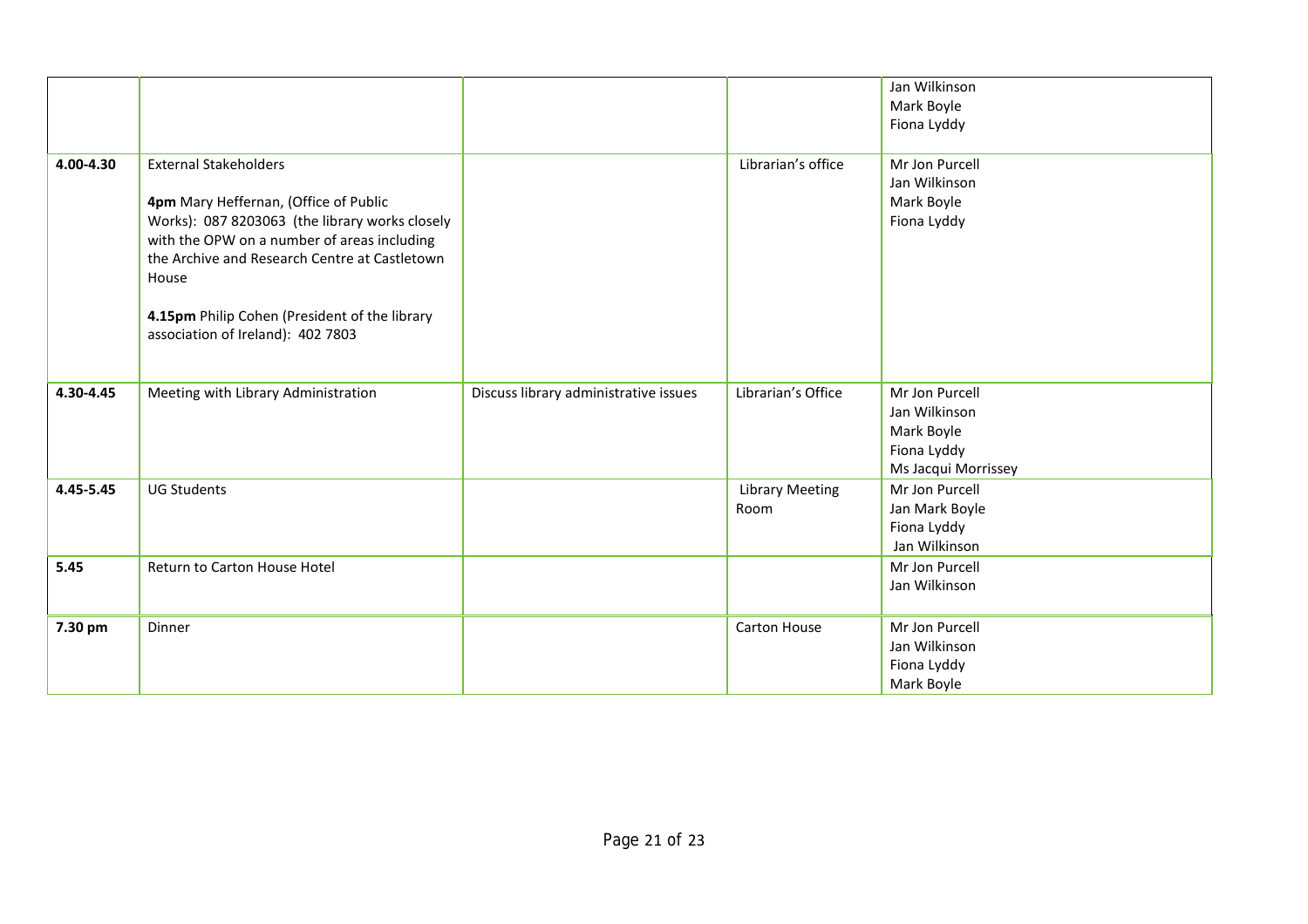|           |                                                                                                                                                                                                                                                                                        |                                       |                                | Jan Wilkinson<br>Mark Boyle<br>Fiona Lyddy                                          |
|-----------|----------------------------------------------------------------------------------------------------------------------------------------------------------------------------------------------------------------------------------------------------------------------------------------|---------------------------------------|--------------------------------|-------------------------------------------------------------------------------------|
| 4.00-4.30 | <b>External Stakeholders</b>                                                                                                                                                                                                                                                           |                                       | Librarian's office             | Mr Jon Purcell                                                                      |
|           | 4pm Mary Heffernan, (Office of Public<br>Works): 087 8203063 (the library works closely<br>with the OPW on a number of areas including<br>the Archive and Research Centre at Castletown<br>House<br>4.15pm Philip Cohen (President of the library<br>association of Ireland): 402 7803 |                                       |                                | Jan Wilkinson<br>Mark Boyle<br>Fiona Lyddy                                          |
| 4.30-4.45 | Meeting with Library Administration                                                                                                                                                                                                                                                    | Discuss library administrative issues | Librarian's Office             | Mr Jon Purcell<br>Jan Wilkinson<br>Mark Boyle<br>Fiona Lyddy<br>Ms Jacqui Morrissey |
| 4.45-5.45 | <b>UG Students</b>                                                                                                                                                                                                                                                                     |                                       | <b>Library Meeting</b><br>Room | Mr Jon Purcell<br>Jan Mark Boyle<br>Fiona Lyddy<br>Jan Wilkinson                    |
| 5.45      | Return to Carton House Hotel                                                                                                                                                                                                                                                           |                                       |                                | Mr Jon Purcell<br>Jan Wilkinson                                                     |
| 7.30 pm   | Dinner                                                                                                                                                                                                                                                                                 |                                       | <b>Carton House</b>            | Mr Jon Purcell<br>Jan Wilkinson<br>Fiona Lyddy<br>Mark Boyle                        |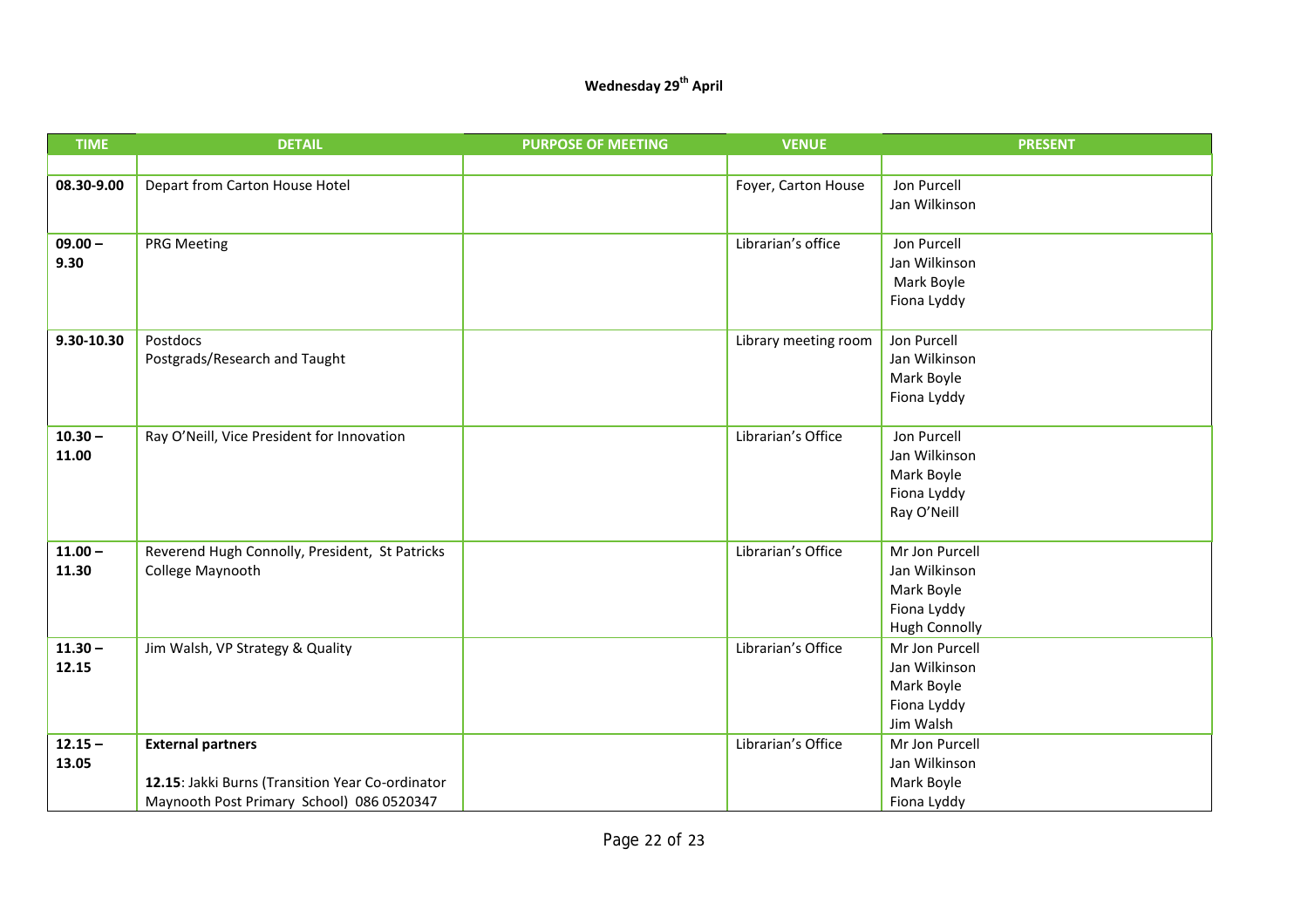### **Wednesday 29th April**

| <b>TIME</b> | <b>DETAIL</b>                                    | <b>PURPOSE OF MEETING</b> | <b>VENUE</b>         | <b>PRESENT</b>           |
|-------------|--------------------------------------------------|---------------------------|----------------------|--------------------------|
|             |                                                  |                           |                      |                          |
| 08.30-9.00  | Depart from Carton House Hotel                   |                           | Foyer, Carton House  | Jon Purcell              |
|             |                                                  |                           |                      | Jan Wilkinson            |
|             |                                                  |                           |                      |                          |
| $09.00 -$   | <b>PRG Meeting</b>                               |                           | Librarian's office   | Jon Purcell              |
| 9.30        |                                                  |                           |                      | Jan Wilkinson            |
|             |                                                  |                           |                      | Mark Boyle               |
|             |                                                  |                           |                      | Fiona Lyddy              |
| 9.30-10.30  | Postdocs                                         |                           | Library meeting room | Jon Purcell              |
|             | Postgrads/Research and Taught                    |                           |                      | Jan Wilkinson            |
|             |                                                  |                           |                      | Mark Boyle               |
|             |                                                  |                           |                      | Fiona Lyddy              |
|             |                                                  |                           |                      |                          |
| $10.30 -$   | Ray O'Neill, Vice President for Innovation       |                           | Librarian's Office   | Jon Purcell              |
| 11.00       |                                                  |                           |                      | Jan Wilkinson            |
|             |                                                  |                           |                      | Mark Boyle               |
|             |                                                  |                           |                      | Fiona Lyddy              |
|             |                                                  |                           |                      | Ray O'Neill              |
| $11.00 -$   | Reverend Hugh Connolly, President, St Patricks   |                           | Librarian's Office   | Mr Jon Purcell           |
| 11.30       | College Maynooth                                 |                           |                      | Jan Wilkinson            |
|             |                                                  |                           |                      | Mark Boyle               |
|             |                                                  |                           |                      | Fiona Lyddy              |
|             |                                                  |                           |                      | <b>Hugh Connolly</b>     |
| $11.30 -$   | Jim Walsh, VP Strategy & Quality                 |                           | Librarian's Office   | Mr Jon Purcell           |
| 12.15       |                                                  |                           |                      | Jan Wilkinson            |
|             |                                                  |                           |                      | Mark Boyle               |
|             |                                                  |                           |                      | Fiona Lyddy<br>Jim Walsh |
| $12.15 -$   | <b>External partners</b>                         |                           | Librarian's Office   | Mr Jon Purcell           |
| 13.05       |                                                  |                           |                      | Jan Wilkinson            |
|             | 12.15: Jakki Burns (Transition Year Co-ordinator |                           |                      | Mark Boyle               |
|             | Maynooth Post Primary School) 086 0520347        |                           |                      | Fiona Lyddy              |